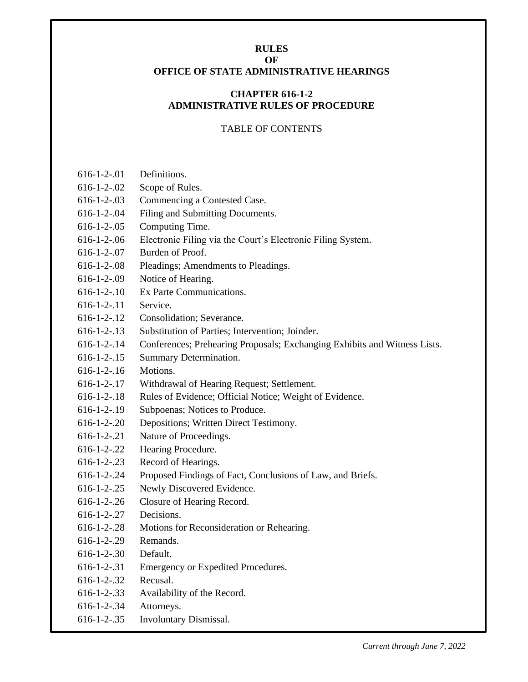#### <span id="page-0-1"></span><span id="page-0-0"></span>**RULES OF OFFICE OF STATE ADMINISTRATIVE HEARINGS**

# **CHAPTER 616-1-2 ADMINISTRATIVE RULES OF PROCEDURE**

## TABLE OF CONTENTS

- [616-1-2-.01](#page-2-0) Definitions.
- 616-1-2-.02 [Scope of Rules.](#page-3-0)
- [616-1-2-.03 Commencing a Contested Case.](#page-4-0)
- [616-1-2-.04](#page-5-0) Filing and Submitting Documents.
- [616-1-2-.05 Computing Time.](#page-7-0)
- [616-1-2-.06](#page-8-0) Electronic Filing via the Court's Electronic Filing System.
- [616-1-2-.07 Burden of Proof.](#page-9-0)
- [616-1-2-.08 Pleadings; Amendments to Pleadings.](#page-10-0)
- [616-1-2-.09 Notice of Hearing.](#page-11-0)
- [616-1-2-.10 Ex Parte Communications.](#page-12-0)
- [616-1-2-.11 Service.](#page-13-0)
- [616-1-2-.12 Consolidation; Severance.](#page-14-0)
- [616-1-2-.13 Substitution of Parties; Intervention; Joinder.](#page-15-0)
- [616-1-2-.14 Conferences; Prehearing Proposals; Exchanging Exhibits and Witness Lists.](#page-16-0)
- [616-1-2-.15 Summary Determination.](#page-18-0)
- [616-1-2-.16 Motions.](#page-20-0)
- [616-1-2-.17 Withdrawal of Hearing Request; Settlement.](#page-21-0)
- [616-1-2-.18 Rules of Evidence; Official Notice; Weight of Evidence.](#page-22-0)
- [616-1-2-.19 Subpoenas; Notices to Produce.](#page-24-0)
- [616-1-2-.20 Depositions; Written Direct Testimony.](#page-26-0)
- [616-1-2-.21 Nature of Proceedings.](#page-29-0)
- [616-1-2-.22 Hearing Procedure.](#page-30-0)
- [616-1-2-.23 Record of Hearings.](#page-32-0)
- [616-1-2-.24 Proposed Findings of Fact, Conclusions of Law, and Briefs.](#page-33-0)
- [616-1-2-.25 Newly Discovered Evidence.](#page-34-0)
- [616-1-2-.26 Closure of Hearing Record.](#page-35-0)
- [616-1-2-.27 Decisions.](#page-36-0)
- [616-1-2-.28 Motions for Reconsideration or Rehearing.](#page-37-0)
- [616-1-2-.29 Remands.](#page-38-0)
- [616-1-2-.30 Default.](#page-39-0)
- [616-1-2-.31 Emergency or Expedited Procedures.](#page-40-0)
- [616-1-2-.32 Recusal.](#page-41-0)
- [616-1-2-.33 Availability of the Record.](#page-43-0)
- [616-1-2-.34 Attorneys.](#page-44-0)
- [616-1-2-.35 Involuntary Dismissal.](#page-45-0)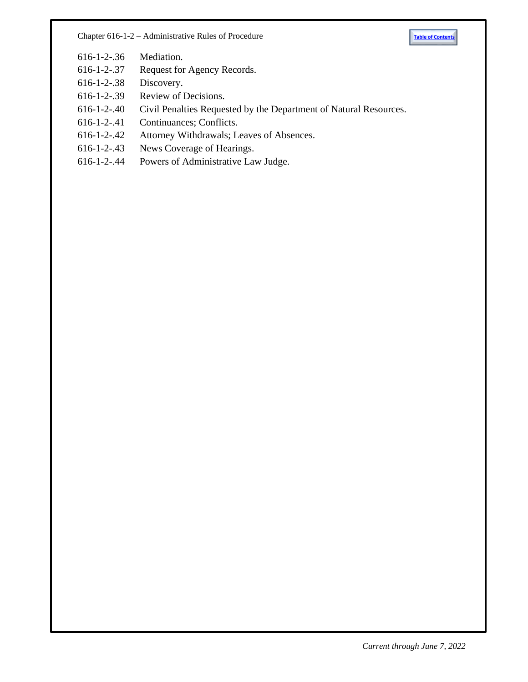Chapter 616-1-2 – Administrative Rules of Procedure **[Table of Contents](#page-0-0)** 



- [616-1-2-.36 Mediation.](#page-46-0)
- [616-1-2-.37 Request for Agency Records.](#page-47-0)
- [616-1-2-.38 Discovery.](#page-48-0)
- [616-1-2-.39 Review](#page-49-0) of Decisions.
- [616-1-2-.40 Civil Penalties Requested by the](#page-50-0) Department of Natural Resources.
- [616-1-2-.41 Continuances; Conflicts.](#page-51-0)
- [616-1-2-.42 Attorney Withdrawals; Leaves of Absences.](#page-52-0)
- [616-1-2-.43 News Coverage of Hearings.](#page-53-0)
- [616-1-2-.44 Powers of Administrative Law Judge.](#page-54-0)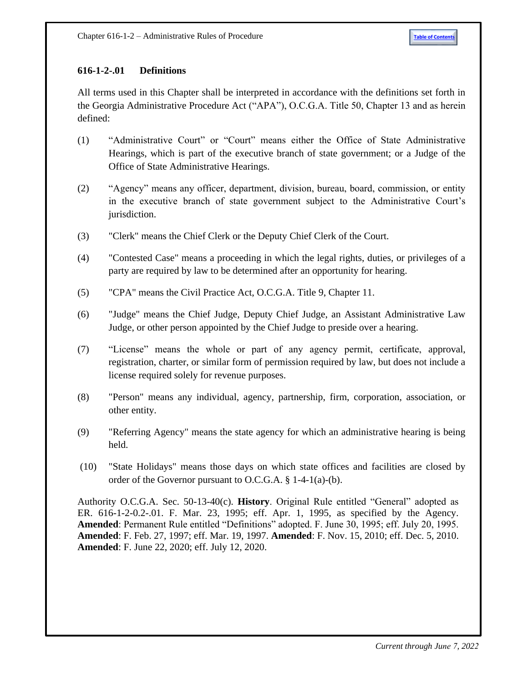# <span id="page-2-0"></span>**616-1-2-.01 Definitions**

All terms used in this Chapter shall be interpreted in accordance with the definitions set forth in the Georgia Administrative Procedure Act ("APA"), O.C.G.A. Title 50, Chapter 13 and as herein defined:

- (1) "Administrative Court" or "Court" means either the Office of State Administrative Hearings, which is part of the executive branch of state government; or a Judge of the Office of State Administrative Hearings.
- (2) "Agency" means any officer, department, division, bureau, board, commission, or entity in the executive branch of state government subject to the Administrative Court's jurisdiction.
- (3) "Clerk" means the Chief Clerk or the Deputy Chief Clerk of the Court.
- (4) "Contested Case" means a proceeding in which the legal rights, duties, or privileges of a party are required by law to be determined after an opportunity for hearing.
- (5) "CPA" means the Civil Practice Act, O.C.G.A. Title 9, Chapter 11.
- (6) "Judge" means the Chief Judge, Deputy Chief Judge, an Assistant Administrative Law Judge, or other person appointed by the Chief Judge to preside over a hearing.
- (7) "License" means the whole or part of any agency permit, certificate, approval, registration, charter, or similar form of permission required by law, but does not include a license required solely for revenue purposes.
- (8) "Person" means any individual, agency, partnership, firm, corporation, association, or other entity.
- (9) "Referring Agency" means the state agency for which an administrative hearing is being held.
- (10) "State Holidays" means those days on which state offices and facilities are closed by order of the Governor pursuant to O.C.G.A. § 1-4-1(a)-(b).

Authority O.C.G.A. Sec. 50-13-40(c). **History**. Original Rule entitled "General" adopted as ER. 616-1-2-0.2-.01. F. Mar. 23, 1995; eff. Apr. 1, 1995, as specified by the Agency. **Amended**: Permanent Rule entitled "Definitions" adopted. F. June 30, 1995; eff. July 20, 1995. **Amended**: F. Feb. 27, 1997; eff. Mar. 19, 1997. **Amended**: F. Nov. 15, 2010; eff. Dec. 5, 2010. **Amended**: F. June 22, 2020; eff. July 12, 2020.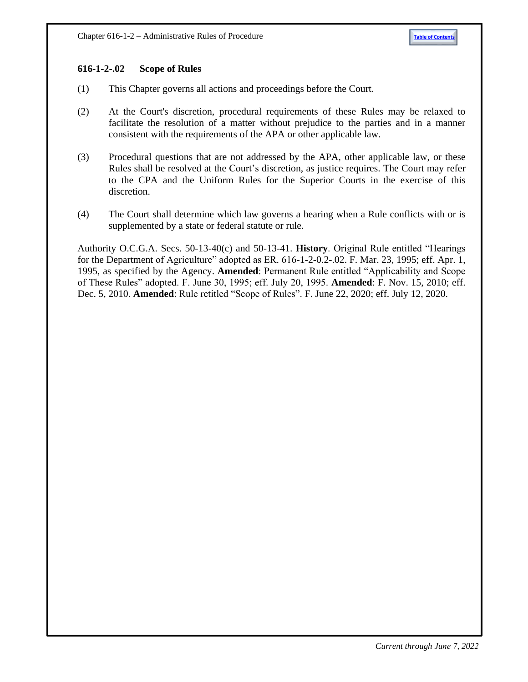#### <span id="page-3-0"></span>**616-1-2-.02 Scope of Rules**

- (1) This Chapter governs all actions and proceedings before the Court.
- (2) At the Court's discretion, procedural requirements of these Rules may be relaxed to facilitate the resolution of a matter without prejudice to the parties and in a manner consistent with the requirements of the APA or other applicable law.
- (3) Procedural questions that are not addressed by the APA, other applicable law, or these Rules shall be resolved at the Court's discretion, as justice requires. The Court may refer to the CPA and the Uniform Rules for the Superior Courts in the exercise of this discretion.
- (4) The Court shall determine which law governs a hearing when a Rule conflicts with or is supplemented by a state or federal statute or rule.

Authority O.C.G.A. Secs. 50-13-40(c) and 50-13-41. **History**. Original Rule entitled "Hearings for the Department of Agriculture" adopted as ER. 616-1-2-0.2-.02. F. Mar. 23, 1995; eff. Apr. 1, 1995, as specified by the Agency. **Amended**: Permanent Rule entitled "Applicability and Scope of These Rules" adopted. F. June 30, 1995; eff. July 20, 1995. **Amended**: F. Nov. 15, 2010; eff. Dec. 5, 2010. **Amended**: Rule retitled "Scope of Rules". F. June 22, 2020; eff. July 12, 2020.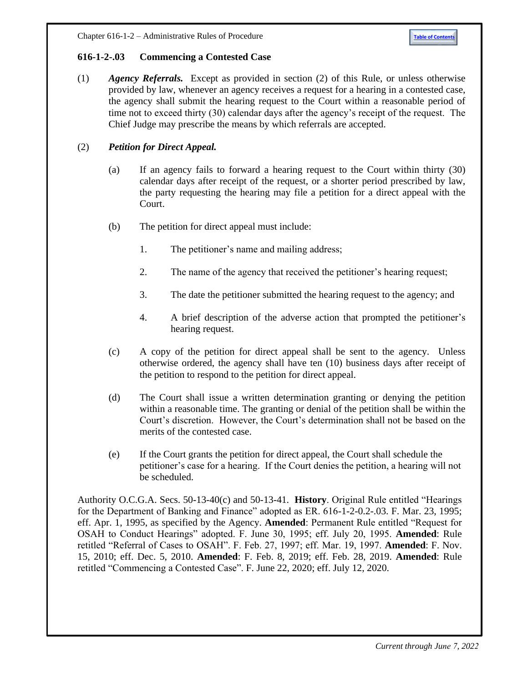#### <span id="page-4-0"></span>**616-1-2-.03 Commencing a Contested Case**

(1) *Agency Referrals.* Except as provided in section (2) of this Rule, or unless otherwise provided by law, whenever an agency receives a request for a hearing in a contested case, the agency shall submit the hearing request to the Court within a reasonable period of time not to exceed thirty (30) calendar days after the agency's receipt of the request. The Chief Judge may prescribe the means by which referrals are accepted.

## (2) *Petition for Direct Appeal.*

- (a) If an agency fails to forward a hearing request to the Court within thirty (30) calendar days after receipt of the request, or a shorter period prescribed by law, the party requesting the hearing may file a petition for a direct appeal with the Court.
- (b) The petition for direct appeal must include:
	- 1. The petitioner's name and mailing address;
	- 2. The name of the agency that received the petitioner's hearing request;
	- 3. The date the petitioner submitted the hearing request to the agency; and
	- 4. A brief description of the adverse action that prompted the petitioner's hearing request.
- (c) A copy of the petition for direct appeal shall be sent to the agency. Unless otherwise ordered, the agency shall have ten (10) business days after receipt of the petition to respond to the petition for direct appeal.
- (d) The Court shall issue a written determination granting or denying the petition within a reasonable time. The granting or denial of the petition shall be within the Court's discretion. However, the Court's determination shall not be based on the merits of the contested case.
- (e) If the Court grants the petition for direct appeal, the Court shall schedule the petitioner's case for a hearing. If the Court denies the petition, a hearing will not be scheduled.

Authority O.C.G.A. Secs. 50-13-40(c) and 50-13-41. **History**. Original Rule entitled "Hearings for the Department of Banking and Finance" adopted as ER. 616-1-2-0.2-.03. F. Mar. 23, 1995; eff. Apr. 1, 1995, as specified by the Agency. **Amended**: Permanent Rule entitled "Request for OSAH to Conduct Hearings" adopted. F. June 30, 1995; eff. July 20, 1995. **Amended**: Rule retitled "Referral of Cases to OSAH". F. Feb. 27, 1997; eff. Mar. 19, 1997. **Amended**: F. Nov. 15, 2010; eff. Dec. 5, 2010. **Amended**: F. Feb. 8, 2019; eff. Feb. 28, 2019. **Amended**: Rule retitled "Commencing a Contested Case". F. June 22, 2020; eff. July 12, 2020.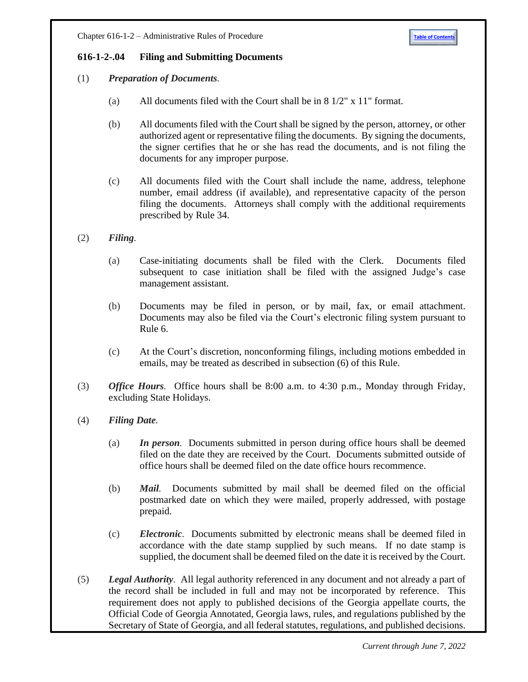## <span id="page-5-0"></span>**616-1-2-.04 Filing and Submitting Documents**

## (1) *Preparation of Documents.*

- (a) All documents filed with the Court shall be in 8 1/2" x 11" format.
- (b) All documents filed with the Court shall be signed by the person, attorney, or other authorized agent or representative filing the documents. By signing the documents, the signer certifies that he or she has read the documents, and is not filing the documents for any improper purpose.
- (c) All documents filed with the Court shall include the name, address, telephone number, email address (if available), and representative capacity of the person filing the documents. Attorneys shall comply with the additional requirements prescribed by Rule 34.
- (2) *Filing.*
	- (a) Case-initiating documents shall be filed with the Clerk. Documents filed subsequent to case initiation shall be filed with the assigned Judge's case management assistant.
	- (b) Documents may be filed in person, or by mail, fax, or email attachment. Documents may also be filed via the Court's electronic filing system pursuant to Rule 6.
	- (c) At the Court's discretion, nonconforming filings, including motions embedded in emails, may be treated as described in subsection (6) of this Rule.
- (3) *Office Hours.* Office hours shall be 8:00 a.m. to 4:30 p.m., Monday through Friday, excluding State Holidays.
- (4) *Filing Date.*
	- (a) *In person.* Documents submitted in person during office hours shall be deemed filed on the date they are received by the Court. Documents submitted outside of office hours shall be deemed filed on the date office hours recommence.
	- (b) *Mail.* Documents submitted by mail shall be deemed filed on the official postmarked date on which they were mailed, properly addressed, with postage prepaid.
	- (c) *Electronic.* Documents submitted by electronic means shall be deemed filed in accordance with the date stamp supplied by such means. If no date stamp is supplied, the document shall be deemed filed on the date it is received by the Court.
- (5) *Legal Authority.* All legal authority referenced in any document and not already a part of the record shall be included in full and may not be incorporated by reference. This requirement does not apply to published decisions of the Georgia appellate courts, the Official Code of Georgia Annotated, Georgia laws, rules, and regulations published by the Secretary of State of Georgia, and all federal statutes, regulations, and published decisions.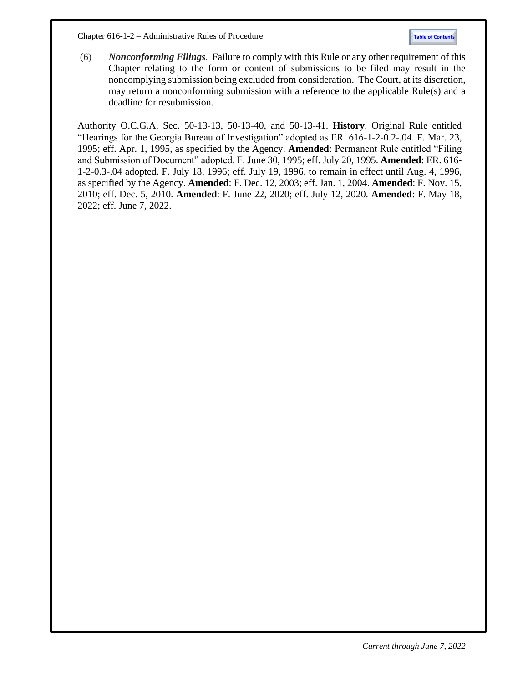Chapter 616-1-2 – Administrative Rules of Procedure **[Table of Contents](#page-0-1)**

(6) *Nonconforming Filings.* Failure to comply with this Rule or any other requirement of this Chapter relating to the form or content of submissions to be filed may result in the noncomplying submission being excluded from consideration. The Court, at its discretion, may return a nonconforming submission with a reference to the applicable Rule(s) and a deadline for resubmission.

Authority O.C.G.A. Sec. 50-13-13, 50-13-40, and 50-13-41. **History**. Original Rule entitled "Hearings for the Georgia Bureau of Investigation" adopted as ER. 616-1-2-0.2-.04. F. Mar. 23, 1995; eff. Apr. 1, 1995, as specified by the Agency. **Amended**: Permanent Rule entitled "Filing and Submission of Document" adopted. F. June 30, 1995; eff. July 20, 1995. **Amended**: ER. 616- 1-2-0.3-.04 adopted. F. July 18, 1996; eff. July 19, 1996, to remain in effect until Aug. 4, 1996, as specified by the Agency. **Amended**: F. Dec. 12, 2003; eff. Jan. 1, 2004. **Amended**: F. Nov. 15, 2010; eff. Dec. 5, 2010. **Amended**: F. June 22, 2020; eff. July 12, 2020. **Amended**: F. May 18, 2022; eff. June 7, 2022.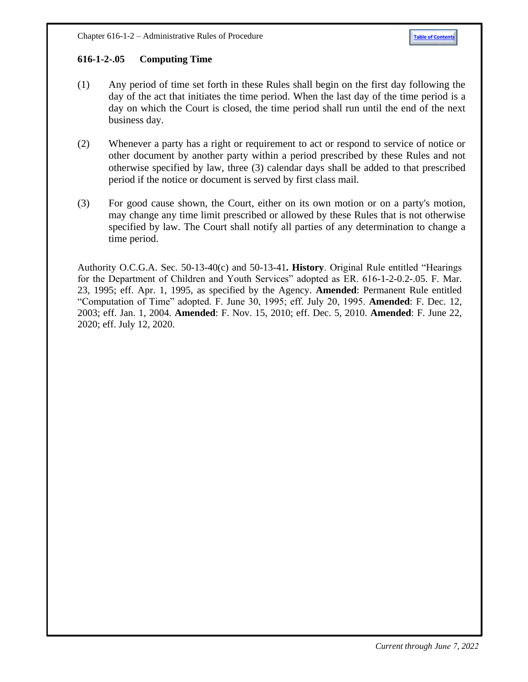# <span id="page-7-0"></span>**616-1-2-.05 Computing Time**

- (1) Any period of time set forth in these Rules shall begin on the first day following the day of the act that initiates the time period. When the last day of the time period is a day on which the Court is closed, the time period shall run until the end of the next business day.
- (2) Whenever a party has a right or requirement to act or respond to service of notice or other document by another party within a period prescribed by these Rules and not otherwise specified by law, three (3) calendar days shall be added to that prescribed period if the notice or document is served by first class mail.
- (3) For good cause shown, the Court, either on its own motion or on a party's motion, may change any time limit prescribed or allowed by these Rules that is not otherwise specified by law. The Court shall notify all parties of any determination to change a time period.

Authority O.C.G.A. Sec. 50-13-40(c) and 50-13-41**. History**. Original Rule entitled "Hearings for the Department of Children and Youth Services" adopted as ER. 616-1-2-0.2-.05. F. Mar. 23, 1995; eff. Apr. 1, 1995, as specified by the Agency. **Amended**: Permanent Rule entitled "Computation of Time" adopted. F. June 30, 1995; eff. July 20, 1995. **Amended**: F. Dec. 12, 2003; eff. Jan. 1, 2004. **Amended**: F. Nov. 15, 2010; eff. Dec. 5, 2010. **Amended**: F. June 22, 2020; eff. July 12, 2020.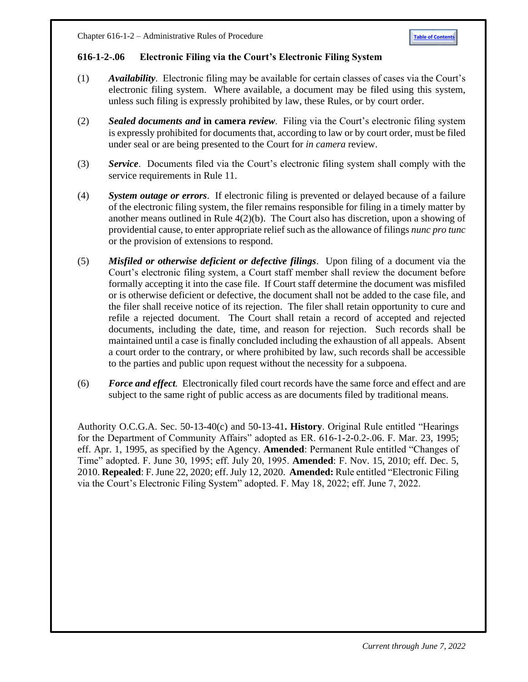## <span id="page-8-0"></span>**616-1-2-.06 Electronic Filing via the Court's Electronic Filing System**

- (1) *Availability*. Electronic filing may be available for certain classes of cases via the Court's electronic filing system. Where available, a document may be filed using this system, unless such filing is expressly prohibited by law, these Rules, or by court order.
- (2) *Sealed documents and* **in camera** *review*. Filing via the Court's electronic filing system is expressly prohibited for documents that, according to law or by court order, must be filed under seal or are being presented to the Court for *in camera* review.
- (3) *Service*. Documents filed via the Court's electronic filing system shall comply with the service requirements in Rule 11.
- (4) *System outage or errors*. If electronic filing is prevented or delayed because of a failure of the electronic filing system, the filer remains responsible for filing in a timely matter by another means outlined in Rule 4(2)(b). The Court also has discretion, upon a showing of providential cause, to enter appropriate relief such as the allowance of filings *nunc pro tunc* or the provision of extensions to respond.
- (5) *Misfiled or otherwise deficient or defective filings*. Upon filing of a document via the Court's electronic filing system, a Court staff member shall review the document before formally accepting it into the case file. If Court staff determine the document was misfiled or is otherwise deficient or defective, the document shall not be added to the case file, and the filer shall receive notice of its rejection. The filer shall retain opportunity to cure and refile a rejected document. The Court shall retain a record of accepted and rejected documents, including the date, time, and reason for rejection. Such records shall be maintained until a case is finally concluded including the exhaustion of all appeals. Absent a court order to the contrary, or where prohibited by law, such records shall be accessible to the parties and public upon request without the necessity for a subpoena.
- (6) *Force and effect.* Electronically filed court records have the same force and effect and are subject to the same right of public access as are documents filed by traditional means.

Authority O.C.G.A. Sec. 50-13-40(c) and 50-13-41**. History**. Original Rule entitled "Hearings for the Department of Community Affairs" adopted as ER. 616-1-2-0.2-.06. F. Mar. 23, 1995; eff. Apr. 1, 1995, as specified by the Agency. **Amended**: Permanent Rule entitled "Changes of Time" adopted. F. June 30, 1995; eff. July 20, 1995. **Amended**: F. Nov. 15, 2010; eff. Dec. 5, 2010. **Repealed**: F. June 22, 2020; eff. July 12, 2020. **Amended:** Rule entitled "Electronic Filing via the Court's Electronic Filing System" adopted. F. May 18, 2022; eff. June 7, 2022.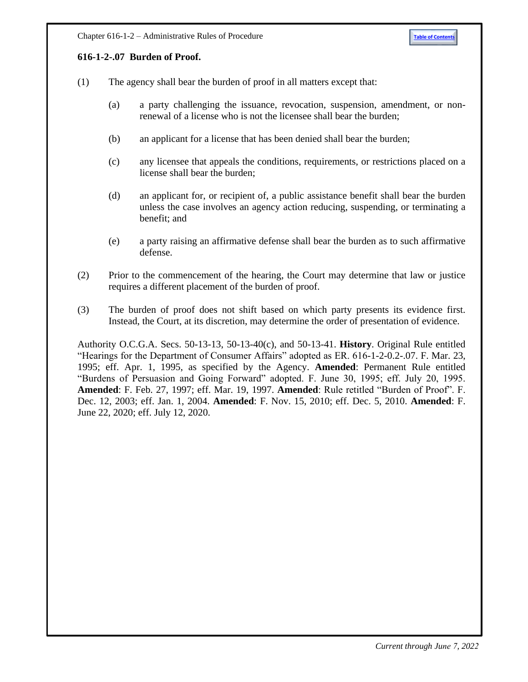#### <span id="page-9-0"></span>**616-1-2-.07 Burden of Proof.**

- (1) The agency shall bear the burden of proof in all matters except that:
	- (a) a party challenging the issuance, revocation, suspension, amendment, or nonrenewal of a license who is not the licensee shall bear the burden;
	- (b) an applicant for a license that has been denied shall bear the burden;
	- (c) any licensee that appeals the conditions, requirements, or restrictions placed on a license shall bear the burden;
	- (d) an applicant for, or recipient of, a public assistance benefit shall bear the burden unless the case involves an agency action reducing, suspending, or terminating a benefit; and
	- (e) a party raising an affirmative defense shall bear the burden as to such affirmative defense.
- (2) Prior to the commencement of the hearing, the Court may determine that law or justice requires a different placement of the burden of proof.
- (3) The burden of proof does not shift based on which party presents its evidence first. Instead, the Court, at its discretion, may determine the order of presentation of evidence.

Authority O.C.G.A. Secs. 50-13-13, 50-13-40(c), and 50-13-41. **History**. Original Rule entitled "Hearings for the Department of Consumer Affairs" adopted as ER. 616-1-2-0.2-.07. F. Mar. 23, 1995; eff. Apr. 1, 1995, as specified by the Agency. **Amended**: Permanent Rule entitled "Burdens of Persuasion and Going Forward" adopted. F. June 30, 1995; eff. July 20, 1995. **Amended**: F. Feb. 27, 1997; eff. Mar. 19, 1997. **Amended**: Rule retitled "Burden of Proof". F. Dec. 12, 2003; eff. Jan. 1, 2004. **Amended**: F. Nov. 15, 2010; eff. Dec. 5, 2010. **Amended**: F. June 22, 2020; eff. July 12, 2020.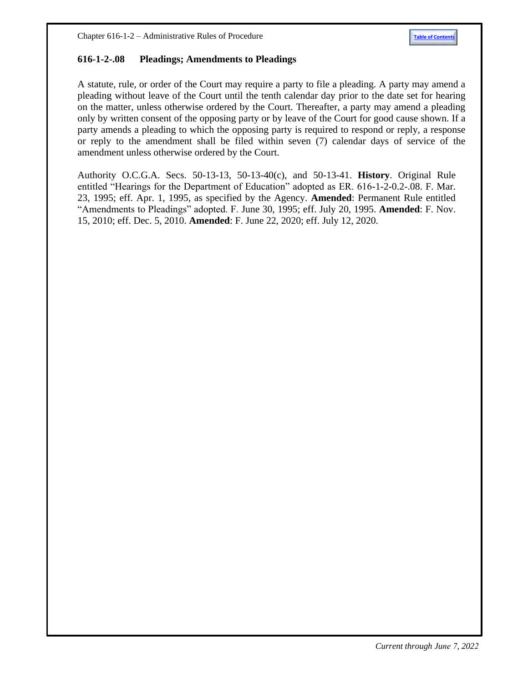#### <span id="page-10-0"></span>**616-1-2-.08 Pleadings; Amendments to Pleadings**

A statute, rule, or order of the Court may require a party to file a pleading. A party may amend a pleading without leave of the Court until the tenth calendar day prior to the date set for hearing on the matter, unless otherwise ordered by the Court. Thereafter, a party may amend a pleading only by written consent of the opposing party or by leave of the Court for good cause shown. If a party amends a pleading to which the opposing party is required to respond or reply, a response or reply to the amendment shall be filed within seven (7) calendar days of service of the amendment unless otherwise ordered by the Court.

Authority O.C.G.A. Secs. 50-13-13, 50-13-40(c), and 50-13-41. **History**. Original Rule entitled "Hearings for the Department of Education" adopted as ER. 616-1-2-0.2-.08. F. Mar. 23, 1995; eff. Apr. 1, 1995, as specified by the Agency. **Amended**: Permanent Rule entitled "Amendments to Pleadings" adopted. F. June 30, 1995; eff. July 20, 1995. **Amended**: F. Nov. 15, 2010; eff. Dec. 5, 2010. **Amended**: F. June 22, 2020; eff. July 12, 2020.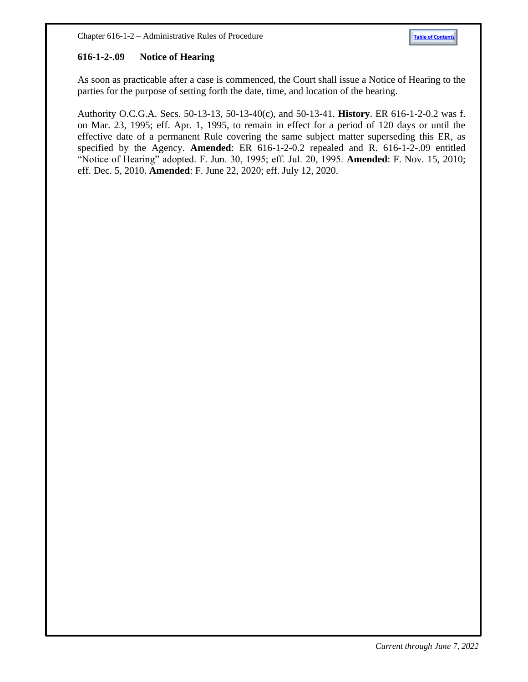#### <span id="page-11-0"></span>**616-1-2-.09 Notice of Hearing**

As soon as practicable after a case is commenced, the Court shall issue a Notice of Hearing to the parties for the purpose of setting forth the date, time, and location of the hearing.

Authority O.C.G.A. Secs. 50-13-13, 50-13-40(c), and 50-13-41. **History**. ER 616-1-2-0.2 was f. on Mar. 23, 1995; eff. Apr. 1, 1995, to remain in effect for a period of 120 days or until the effective date of a permanent Rule covering the same subject matter superseding this ER, as specified by the Agency. **Amended**: ER 616-1-2-0.2 repealed and R. 616-1-2-.09 entitled "Notice of Hearing" adopted. F. Jun. 30, 1995; eff. Jul. 20, 1995. **Amended**: F. Nov. 15, 2010; eff. Dec. 5, 2010. **Amended**: F. June 22, 2020; eff. July 12, 2020.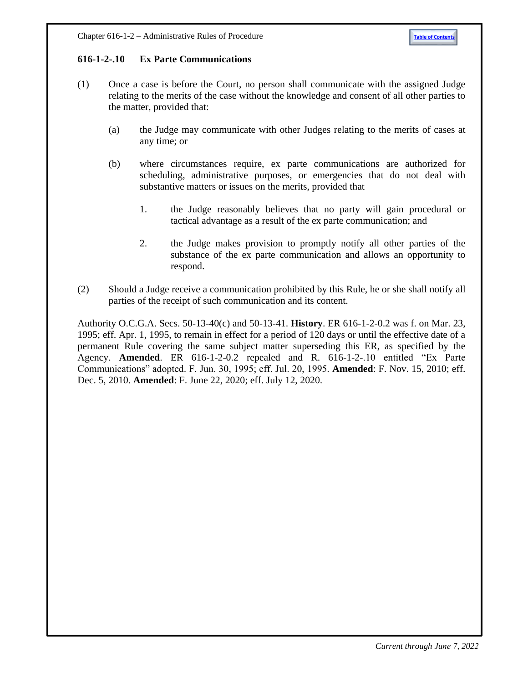## <span id="page-12-0"></span>**616-1-2-.10 Ex Parte Communications**

- (1) Once a case is before the Court, no person shall communicate with the assigned Judge relating to the merits of the case without the knowledge and consent of all other parties to the matter, provided that:
	- (a) the Judge may communicate with other Judges relating to the merits of cases at any time; or
	- (b) where circumstances require, ex parte communications are authorized for scheduling, administrative purposes, or emergencies that do not deal with substantive matters or issues on the merits, provided that
		- 1. the Judge reasonably believes that no party will gain procedural or tactical advantage as a result of the ex parte communication; and
		- 2. the Judge makes provision to promptly notify all other parties of the substance of the ex parte communication and allows an opportunity to respond.
- (2) Should a Judge receive a communication prohibited by this Rule, he or she shall notify all parties of the receipt of such communication and its content.

Authority O.C.G.A. Secs. 50-13-40(c) and 50-13-41. **History**. ER 616-1-2-0.2 was f. on Mar. 23, 1995; eff. Apr. 1, 1995, to remain in effect for a period of 120 days or until the effective date of a permanent Rule covering the same subject matter superseding this ER, as specified by the Agency. **Amended**. ER 616-1-2-0.2 repealed and R. 616-1-2-.10 entitled "Ex Parte Communications" adopted. F. Jun. 30, 1995; eff. Jul. 20, 1995. **Amended**: F. Nov. 15, 2010; eff. Dec. 5, 2010. **Amended**: F. June 22, 2020; eff. July 12, 2020.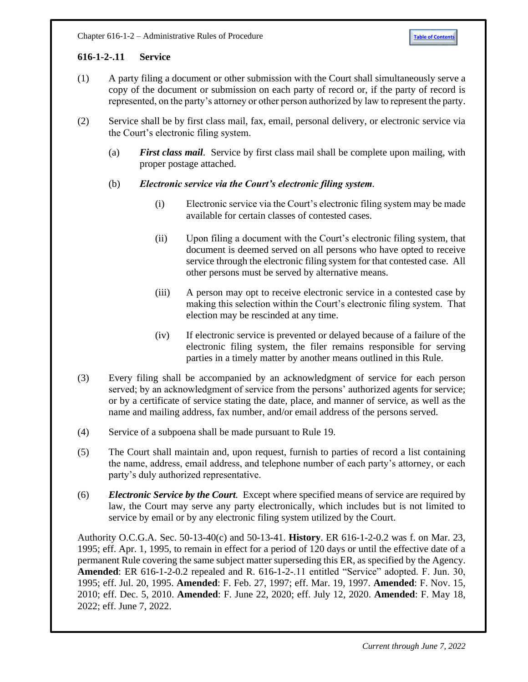## <span id="page-13-0"></span>**616-1-2-.11 Service**

- (1) A party filing a document or other submission with the Court shall simultaneously serve a copy of the document or submission on each party of record or, if the party of record is represented, on the party's attorney or other person authorized by law to represent the party.
- (2) Service shall be by first class mail, fax, email, personal delivery, or electronic service via the Court's electronic filing system.
	- (a) *First class mail*. Service by first class mail shall be complete upon mailing, with proper postage attached.

## (b) *Electronic service via the Court's electronic filing system.*

- (i) Electronic service via the Court's electronic filing system may be made available for certain classes of contested cases.
- (ii) Upon filing a document with the Court's electronic filing system, that document is deemed served on all persons who have opted to receive service through the electronic filing system for that contested case. All other persons must be served by alternative means.
- (iii) A person may opt to receive electronic service in a contested case by making this selection within the Court's electronic filing system. That election may be rescinded at any time.
- (iv) If electronic service is prevented or delayed because of a failure of the electronic filing system, the filer remains responsible for serving parties in a timely matter by another means outlined in this Rule.
- (3) Every filing shall be accompanied by an acknowledgment of service for each person served; by an acknowledgment of service from the persons' authorized agents for service; or by a certificate of service stating the date, place, and manner of service, as well as the name and mailing address, fax number, and/or email address of the persons served.
- (4) Service of a subpoena shall be made pursuant to Rule 19.
- (5) The Court shall maintain and, upon request, furnish to parties of record a list containing the name, address, email address, and telephone number of each party's attorney, or each party's duly authorized representative.
- (6) *Electronic Service by the Court.* Except where specified means of service are required by law, the Court may serve any party electronically, which includes but is not limited to service by email or by any electronic filing system utilized by the Court.

Authority O.C.G.A. Sec. 50-13-40(c) and 50-13-41. **History**. ER 616-1-2-0.2 was f. on Mar. 23, 1995; eff. Apr. 1, 1995, to remain in effect for a period of 120 days or until the effective date of a permanent Rule covering the same subject matter superseding this ER, as specified by the Agency. **Amended**: ER 616-1-2-0.2 repealed and R. 616-1-2-.11 entitled "Service" adopted. F. Jun. 30, 1995; eff. Jul. 20, 1995. **Amended**: F. Feb. 27, 1997; eff. Mar. 19, 1997. **Amended**: F. Nov. 15, 2010; eff. Dec. 5, 2010. **Amended**: F. June 22, 2020; eff. July 12, 2020. **Amended**: F. May 18, 2022; eff. June 7, 2022.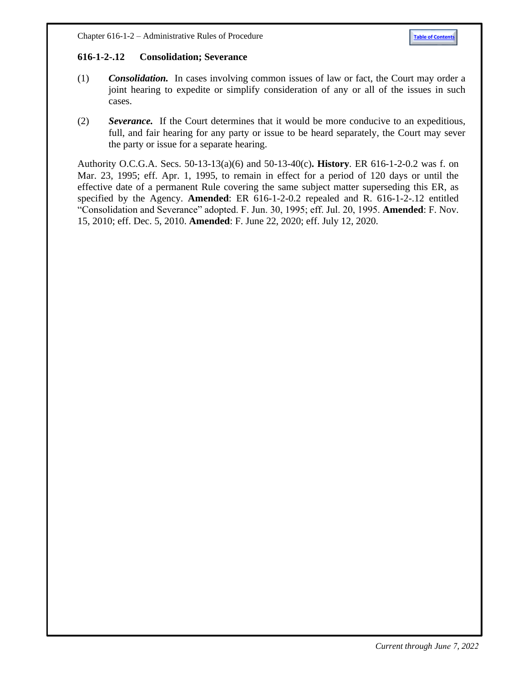#### <span id="page-14-0"></span>**616-1-2-.12 Consolidation; Severance**

- (1) *Consolidation.* In cases involving common issues of law or fact, the Court may order a joint hearing to expedite or simplify consideration of any or all of the issues in such cases.
- (2) *Severance.* If the Court determines that it would be more conducive to an expeditious, full, and fair hearing for any party or issue to be heard separately, the Court may sever the party or issue for a separate hearing.

Authority O.C.G.A. Secs. 50-13-13(a)(6) and 50-13-40(c)**. History**. ER 616-1-2-0.2 was f. on Mar. 23, 1995; eff. Apr. 1, 1995, to remain in effect for a period of 120 days or until the effective date of a permanent Rule covering the same subject matter superseding this ER, as specified by the Agency. **Amended**: ER 616-1-2-0.2 repealed and R. 616-1-2-.12 entitled "Consolidation and Severance" adopted. F. Jun. 30, 1995; eff. Jul. 20, 1995. **Amended**: F. Nov. 15, 2010; eff. Dec. 5, 2010. **Amended**: F. June 22, 2020; eff. July 12, 2020.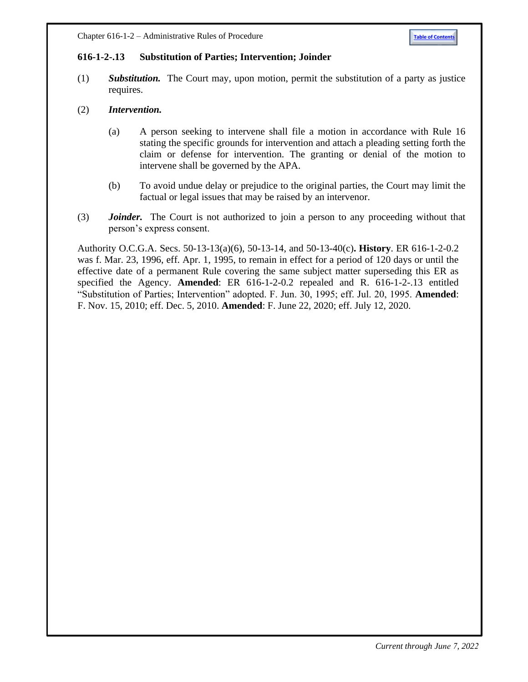#### <span id="page-15-0"></span>**616-1-2-.13 Substitution of Parties; Intervention; Joinder**

- (1) *Substitution.* The Court may, upon motion, permit the substitution of a party as justice requires.
- (2) *Intervention.*
	- (a) A person seeking to intervene shall file a motion in accordance with Rule 16 stating the specific grounds for intervention and attach a pleading setting forth the claim or defense for intervention. The granting or denial of the motion to intervene shall be governed by the APA.
	- (b) To avoid undue delay or prejudice to the original parties, the Court may limit the factual or legal issues that may be raised by an intervenor.
- (3) *Joinder.* The Court is not authorized to join a person to any proceeding without that person's express consent.

Authority O.C.G.A. Secs. 50-13-13(a)(6), 50-13-14, and 50-13-40(c)**. History**. ER 616-1-2-0.2 was f. Mar. 23, 1996, eff. Apr. 1, 1995, to remain in effect for a period of 120 days or until the effective date of a permanent Rule covering the same subject matter superseding this ER as specified the Agency. **Amended**: ER 616-1-2-0.2 repealed and R. 616-1-2-.13 entitled "Substitution of Parties; Intervention" adopted. F. Jun. 30, 1995; eff. Jul. 20, 1995. **Amended**: F. Nov. 15, 2010; eff. Dec. 5, 2010. **Amended**: F. June 22, 2020; eff. July 12, 2020.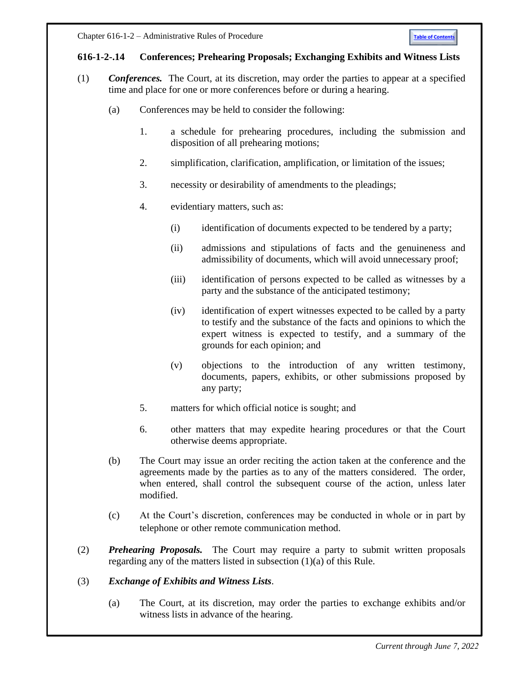## <span id="page-16-0"></span>**616-1-2-.14 Conferences; Prehearing Proposals; Exchanging Exhibits and Witness Lists**

- (1) *Conferences.* The Court, at its discretion, may order the parties to appear at a specified time and place for one or more conferences before or during a hearing.
	- (a) Conferences may be held to consider the following:
		- 1. a schedule for prehearing procedures, including the submission and disposition of all prehearing motions;
		- 2. simplification, clarification, amplification, or limitation of the issues;
		- 3. necessity or desirability of amendments to the pleadings;
		- 4. evidentiary matters, such as:
			- (i) identification of documents expected to be tendered by a party;
			- (ii) admissions and stipulations of facts and the genuineness and admissibility of documents, which will avoid unnecessary proof;
			- (iii) identification of persons expected to be called as witnesses by a party and the substance of the anticipated testimony;
			- (iv) identification of expert witnesses expected to be called by a party to testify and the substance of the facts and opinions to which the expert witness is expected to testify, and a summary of the grounds for each opinion; and
			- (v) objections to the introduction of any written testimony, documents, papers, exhibits, or other submissions proposed by any party;
		- 5. matters for which official notice is sought; and
		- 6. other matters that may expedite hearing procedures or that the Court otherwise deems appropriate.
	- (b) The Court may issue an order reciting the action taken at the conference and the agreements made by the parties as to any of the matters considered. The order, when entered, shall control the subsequent course of the action, unless later modified.
	- (c) At the Court's discretion, conferences may be conducted in whole or in part by telephone or other remote communication method.
- (2) *Prehearing Proposals.* The Court may require a party to submit written proposals regarding any of the matters listed in subsection (1)(a) of this Rule.

## (3) *Exchange of Exhibits and Witness Lists*.

(a) The Court, at its discretion, may order the parties to exchange exhibits and/or witness lists in advance of the hearing.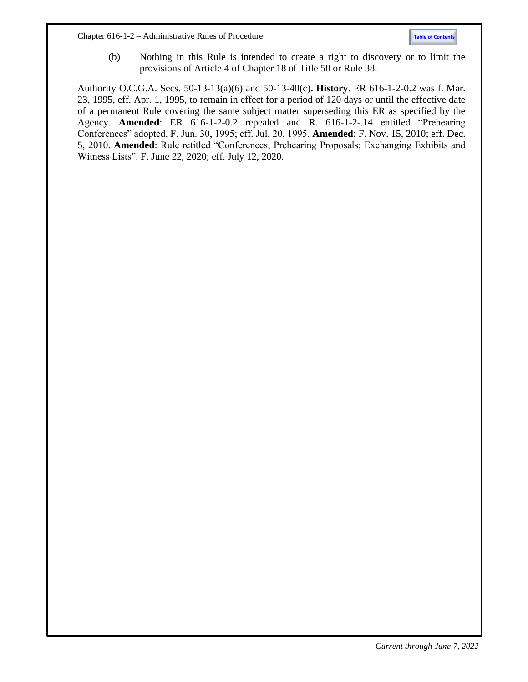Chapter 616-1-2 – Administrative Rules of Procedure **[Table of Contents](#page-0-1)**

(b) Nothing in this Rule is intended to create a right to discovery or to limit the provisions of Article 4 of Chapter 18 of Title 50 or Rule 38.

Authority O.C.G.A. Secs. 50-13-13(a)(6) and 50-13-40(c)**. History**. ER 616-1-2-0.2 was f. Mar. 23, 1995, eff. Apr. 1, 1995, to remain in effect for a period of 120 days or until the effective date of a permanent Rule covering the same subject matter superseding this ER as specified by the Agency. **Amended**: ER 616-1-2-0.2 repealed and R. 616-1-2-.14 entitled "Prehearing Conferences" adopted. F. Jun. 30, 1995; eff. Jul. 20, 1995. **Amended**: F. Nov. 15, 2010; eff. Dec. 5, 2010. **Amended**: Rule retitled "Conferences; Prehearing Proposals; Exchanging Exhibits and Witness Lists". F. June 22, 2020; eff. July 12, 2020.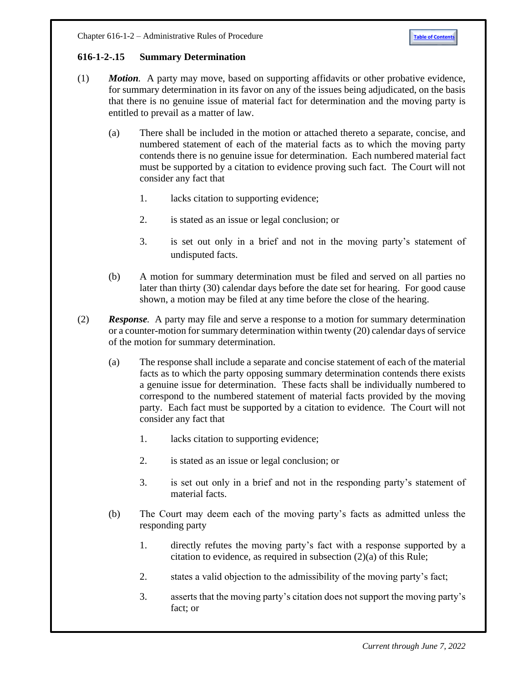## <span id="page-18-0"></span>**616-1-2-.15 Summary Determination**

- (1) *Motion.* A party may move, based on supporting affidavits or other probative evidence, for summary determination in its favor on any of the issues being adjudicated, on the basis that there is no genuine issue of material fact for determination and the moving party is entitled to prevail as a matter of law.
	- (a) There shall be included in the motion or attached thereto a separate, concise, and numbered statement of each of the material facts as to which the moving party contends there is no genuine issue for determination. Each numbered material fact must be supported by a citation to evidence proving such fact. The Court will not consider any fact that
		- 1. lacks citation to supporting evidence;
		- 2. is stated as an issue or legal conclusion; or
		- 3. is set out only in a brief and not in the moving party's statement of undisputed facts.
	- (b) A motion for summary determination must be filed and served on all parties no later than thirty (30) calendar days before the date set for hearing. For good cause shown, a motion may be filed at any time before the close of the hearing.
- (2) *Response.* A party may file and serve a response to a motion for summary determination or a counter-motion for summary determination within twenty (20) calendar days of service of the motion for summary determination.
	- (a) The response shall include a separate and concise statement of each of the material facts as to which the party opposing summary determination contends there exists a genuine issue for determination. These facts shall be individually numbered to correspond to the numbered statement of material facts provided by the moving party. Each fact must be supported by a citation to evidence. The Court will not consider any fact that
		- 1. lacks citation to supporting evidence;
		- 2. is stated as an issue or legal conclusion; or
		- 3. is set out only in a brief and not in the responding party's statement of material facts.
	- (b) The Court may deem each of the moving party's facts as admitted unless the responding party
		- 1. directly refutes the moving party's fact with a response supported by a citation to evidence, as required in subsection (2)(a) of this Rule;
		- 2. states a valid objection to the admissibility of the moving party's fact;
		- 3. asserts that the moving party's citation does not support the moving party's fact; or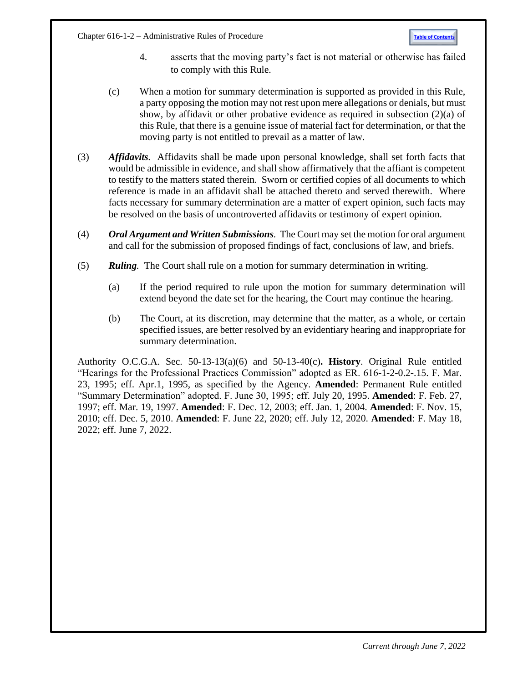Chapter 616-1-2 – Administrative Rules of Procedure **[Table of Contents](#page-0-1)** 



- 4. asserts that the moving party's fact is not material or otherwise has failed to comply with this Rule.
- (c) When a motion for summary determination is supported as provided in this Rule, a party opposing the motion may not rest upon mere allegations or denials, but must show, by affidavit or other probative evidence as required in subsection  $(2)(a)$  of this Rule, that there is a genuine issue of material fact for determination, or that the moving party is not entitled to prevail as a matter of law.
- (3) *Affidavits.* Affidavits shall be made upon personal knowledge, shall set forth facts that would be admissible in evidence, and shall show affirmatively that the affiant is competent to testify to the matters stated therein. Sworn or certified copies of all documents to which reference is made in an affidavit shall be attached thereto and served therewith. Where facts necessary for summary determination are a matter of expert opinion, such facts may be resolved on the basis of uncontroverted affidavits or testimony of expert opinion.
- (4) *Oral Argument and Written Submissions.* The Court may set the motion for oral argument and call for the submission of proposed findings of fact, conclusions of law, and briefs.
- (5) *Ruling.* The Court shall rule on a motion for summary determination in writing.
	- (a) If the period required to rule upon the motion for summary determination will extend beyond the date set for the hearing, the Court may continue the hearing.
	- (b) The Court, at its discretion, may determine that the matter, as a whole, or certain specified issues, are better resolved by an evidentiary hearing and inappropriate for summary determination.

Authority O.C.G.A. Sec. 50-13-13(a)(6) and 50-13-40(c)**. History**. Original Rule entitled "Hearings for the Professional Practices Commission" adopted as ER. 616-1-2-0.2-.15. F. Mar. 23, 1995; eff. Apr.1, 1995, as specified by the Agency. **Amended**: Permanent Rule entitled "Summary Determination" adopted. F. June 30, 1995; eff. July 20, 1995. **Amended**: F. Feb. 27, 1997; eff. Mar. 19, 1997. **Amended**: F. Dec. 12, 2003; eff. Jan. 1, 2004. **Amended**: F. Nov. 15, 2010; eff. Dec. 5, 2010. **Amended**: F. June 22, 2020; eff. July 12, 2020. **Amended**: F. May 18, 2022; eff. June 7, 2022.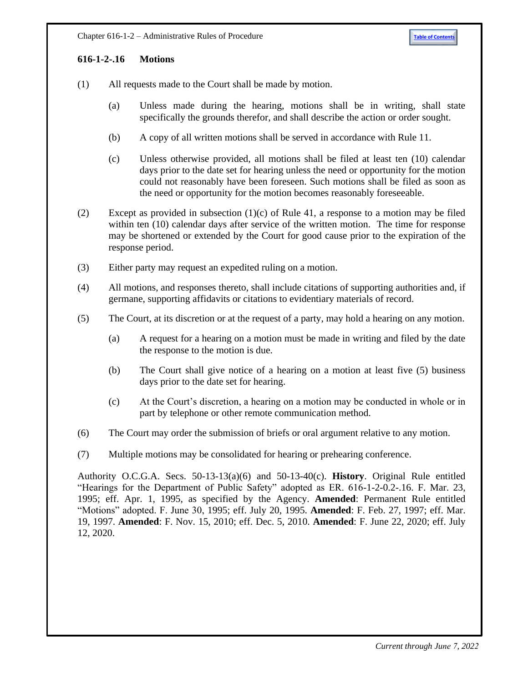# <span id="page-20-0"></span>**616-1-2-.16 Motions**

- (1) All requests made to the Court shall be made by motion.
	- (a) Unless made during the hearing, motions shall be in writing, shall state specifically the grounds therefor, and shall describe the action or order sought.
	- (b) A copy of all written motions shall be served in accordance with Rule 11.
	- (c) Unless otherwise provided, all motions shall be filed at least ten (10) calendar days prior to the date set for hearing unless the need or opportunity for the motion could not reasonably have been foreseen. Such motions shall be filed as soon as the need or opportunity for the motion becomes reasonably foreseeable.
- (2) Except as provided in subsection (1)(c) of Rule 41, a response to a motion may be filed within ten (10) calendar days after service of the written motion. The time for response may be shortened or extended by the Court for good cause prior to the expiration of the response period.
- (3) Either party may request an expedited ruling on a motion.
- (4) All motions, and responses thereto, shall include citations of supporting authorities and, if germane, supporting affidavits or citations to evidentiary materials of record.
- (5) The Court, at its discretion or at the request of a party, may hold a hearing on any motion.
	- (a) A request for a hearing on a motion must be made in writing and filed by the date the response to the motion is due.
	- (b) The Court shall give notice of a hearing on a motion at least five (5) business days prior to the date set for hearing.
	- (c) At the Court's discretion, a hearing on a motion may be conducted in whole or in part by telephone or other remote communication method.
- (6) The Court may order the submission of briefs or oral argument relative to any motion.
- (7) Multiple motions may be consolidated for hearing or prehearing conference.

Authority O.C.G.A. Secs. 50-13-13(a)(6) and 50-13-40(c). **History**. Original Rule entitled "Hearings for the Department of Public Safety" adopted as ER. 616-1-2-0.2-.16. F. Mar. 23, 1995; eff. Apr. 1, 1995, as specified by the Agency. **Amended**: Permanent Rule entitled "Motions" adopted. F. June 30, 1995; eff. July 20, 1995. **Amended**: F. Feb. 27, 1997; eff. Mar. 19, 1997. **Amended**: F. Nov. 15, 2010; eff. Dec. 5, 2010. **Amended**: F. June 22, 2020; eff. July 12, 2020.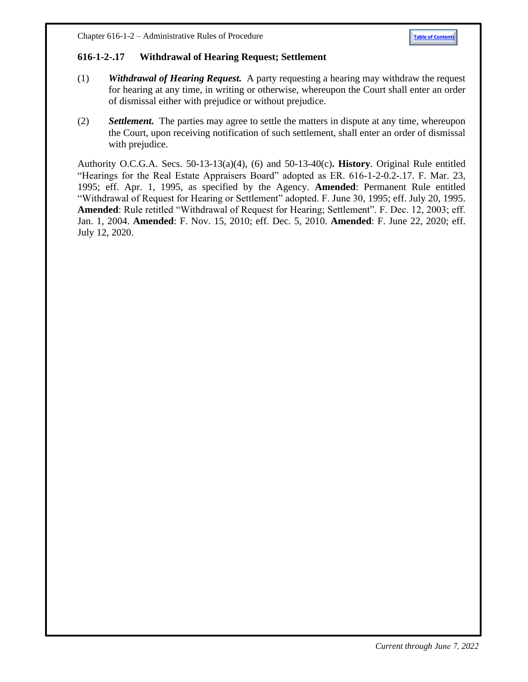

#### <span id="page-21-0"></span>**616-1-2-.17 Withdrawal of Hearing Request; Settlement**

- (1) *Withdrawal of Hearing Request.* A party requesting a hearing may withdraw the request for hearing at any time, in writing or otherwise, whereupon the Court shall enter an order of dismissal either with prejudice or without prejudice.
- (2) *Settlement.* The parties may agree to settle the matters in dispute at any time, whereupon the Court, upon receiving notification of such settlement, shall enter an order of dismissal with prejudice.

Authority O.C.G.A. Secs. 50-13-13(a)(4), (6) and 50-13-40(c)**. History**. Original Rule entitled "Hearings for the Real Estate Appraisers Board" adopted as ER. 616-1-2-0.2-.17. F. Mar. 23, 1995; eff. Apr. 1, 1995, as specified by the Agency. **Amended**: Permanent Rule entitled "Withdrawal of Request for Hearing or Settlement" adopted. F. June 30, 1995; eff. July 20, 1995. **Amended**: Rule retitled "Withdrawal of Request for Hearing; Settlement". F. Dec. 12, 2003; eff. Jan. 1, 2004. **Amended**: F. Nov. 15, 2010; eff. Dec. 5, 2010. **Amended**: F. June 22, 2020; eff. July 12, 2020.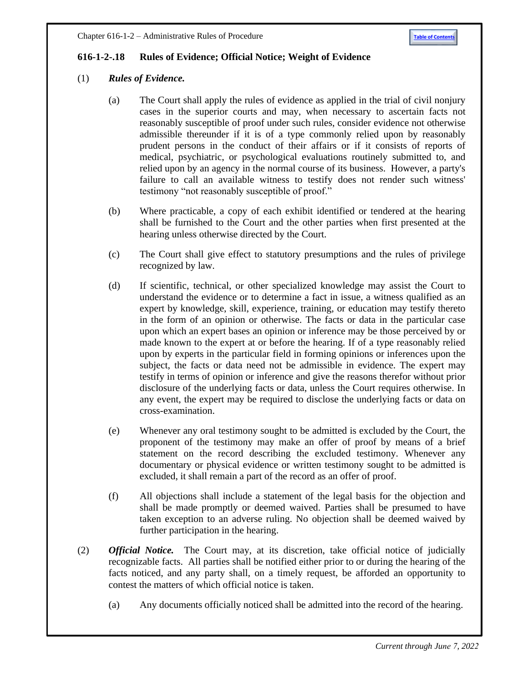## <span id="page-22-0"></span>**616-1-2-.18 Rules of Evidence; Official Notice; Weight of Evidence**

## (1) *Rules of Evidence.*

- (a) The Court shall apply the rules of evidence as applied in the trial of civil nonjury cases in the superior courts and may, when necessary to ascertain facts not reasonably susceptible of proof under such rules, consider evidence not otherwise admissible thereunder if it is of a type commonly relied upon by reasonably prudent persons in the conduct of their affairs or if it consists of reports of medical, psychiatric, or psychological evaluations routinely submitted to, and relied upon by an agency in the normal course of its business. However, a party's failure to call an available witness to testify does not render such witness' testimony "not reasonably susceptible of proof."
- (b) Where practicable, a copy of each exhibit identified or tendered at the hearing shall be furnished to the Court and the other parties when first presented at the hearing unless otherwise directed by the Court.
- (c) The Court shall give effect to statutory presumptions and the rules of privilege recognized by law.
- (d) If scientific, technical, or other specialized knowledge may assist the Court to understand the evidence or to determine a fact in issue, a witness qualified as an expert by knowledge, skill, experience, training, or education may testify thereto in the form of an opinion or otherwise. The facts or data in the particular case upon which an expert bases an opinion or inference may be those perceived by or made known to the expert at or before the hearing. If of a type reasonably relied upon by experts in the particular field in forming opinions or inferences upon the subject, the facts or data need not be admissible in evidence. The expert may testify in terms of opinion or inference and give the reasons therefor without prior disclosure of the underlying facts or data, unless the Court requires otherwise. In any event, the expert may be required to disclose the underlying facts or data on cross-examination.
- (e) Whenever any oral testimony sought to be admitted is excluded by the Court, the proponent of the testimony may make an offer of proof by means of a brief statement on the record describing the excluded testimony. Whenever any documentary or physical evidence or written testimony sought to be admitted is excluded, it shall remain a part of the record as an offer of proof.
- (f) All objections shall include a statement of the legal basis for the objection and shall be made promptly or deemed waived. Parties shall be presumed to have taken exception to an adverse ruling. No objection shall be deemed waived by further participation in the hearing.
- (2) *Official Notice.* The Court may, at its discretion, take official notice of judicially recognizable facts. All parties shall be notified either prior to or during the hearing of the facts noticed, and any party shall, on a timely request, be afforded an opportunity to contest the matters of which official notice is taken.
	- (a) Any documents officially noticed shall be admitted into the record of the hearing.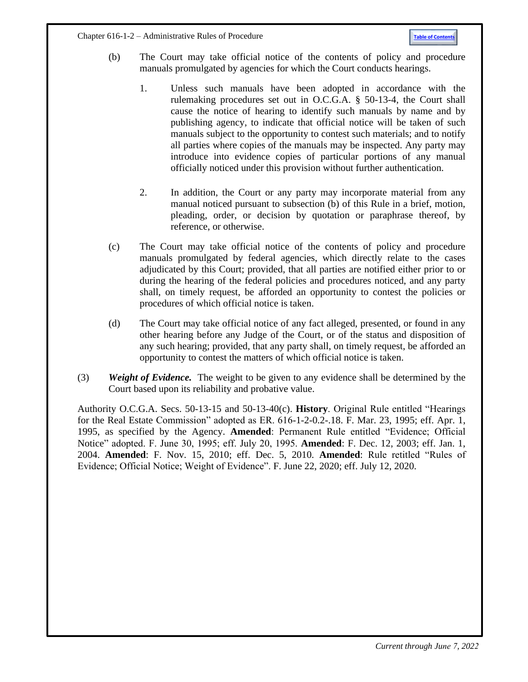- (b) The Court may take official notice of the contents of policy and procedure manuals promulgated by agencies for which the Court conducts hearings.
	- 1. Unless such manuals have been adopted in accordance with the rulemaking procedures set out in O.C.G.A. § 50-13-4, the Court shall cause the notice of hearing to identify such manuals by name and by publishing agency, to indicate that official notice will be taken of such manuals subject to the opportunity to contest such materials; and to notify all parties where copies of the manuals may be inspected. Any party may introduce into evidence copies of particular portions of any manual officially noticed under this provision without further authentication.
	- 2. In addition, the Court or any party may incorporate material from any manual noticed pursuant to subsection (b) of this Rule in a brief, motion, pleading, order, or decision by quotation or paraphrase thereof, by reference, or otherwise.
- (c) The Court may take official notice of the contents of policy and procedure manuals promulgated by federal agencies, which directly relate to the cases adjudicated by this Court; provided, that all parties are notified either prior to or during the hearing of the federal policies and procedures noticed, and any party shall, on timely request, be afforded an opportunity to contest the policies or procedures of which official notice is taken.
- (d) The Court may take official notice of any fact alleged, presented, or found in any other hearing before any Judge of the Court, or of the status and disposition of any such hearing; provided, that any party shall, on timely request, be afforded an opportunity to contest the matters of which official notice is taken.
- (3) *Weight of Evidence.* The weight to be given to any evidence shall be determined by the Court based upon its reliability and probative value.

Authority O.C.G.A. Secs. 50-13-15 and 50-13-40(c). **History**. Original Rule entitled "Hearings for the Real Estate Commission" adopted as ER. 616-1-2-0.2-.18. F. Mar. 23, 1995; eff. Apr. 1, 1995, as specified by the Agency. **Amended**: Permanent Rule entitled "Evidence; Official Notice" adopted. F. June 30, 1995; eff. July 20, 1995. **Amended**: F. Dec. 12, 2003; eff. Jan. 1, 2004. **Amended**: F. Nov. 15, 2010; eff. Dec. 5, 2010. **Amended**: Rule retitled "Rules of Evidence; Official Notice; Weight of Evidence". F. June 22, 2020; eff. July 12, 2020.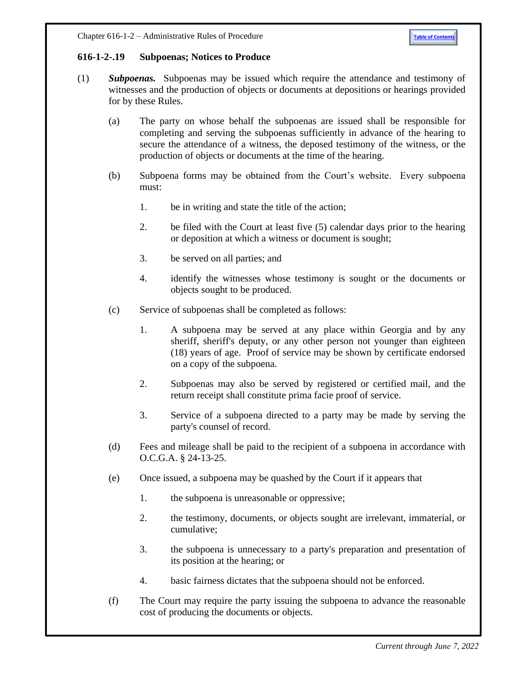#### <span id="page-24-0"></span>**616-1-2-.19 Subpoenas; Notices to Produce**

- (1) *Subpoenas.* Subpoenas may be issued which require the attendance and testimony of witnesses and the production of objects or documents at depositions or hearings provided for by these Rules.
	- (a) The party on whose behalf the subpoenas are issued shall be responsible for completing and serving the subpoenas sufficiently in advance of the hearing to secure the attendance of a witness, the deposed testimony of the witness, or the production of objects or documents at the time of the hearing.
	- (b) Subpoena forms may be obtained from the Court's website. Every subpoena must:
		- 1. be in writing and state the title of the action;
		- 2. be filed with the Court at least five (5) calendar days prior to the hearing or deposition at which a witness or document is sought;
		- 3. be served on all parties; and
		- 4. identify the witnesses whose testimony is sought or the documents or objects sought to be produced.
	- (c) Service of subpoenas shall be completed as follows:
		- 1. A subpoena may be served at any place within Georgia and by any sheriff, sheriff's deputy, or any other person not younger than eighteen (18) years of age. Proof of service may be shown by certificate endorsed on a copy of the subpoena.
		- 2. Subpoenas may also be served by registered or certified mail, and the return receipt shall constitute prima facie proof of service.
		- 3. Service of a subpoena directed to a party may be made by serving the party's counsel of record.
	- (d) Fees and mileage shall be paid to the recipient of a subpoena in accordance with O.C.G.A. § 24-13-25.
	- (e) Once issued, a subpoena may be quashed by the Court if it appears that
		- 1. the subpoena is unreasonable or oppressive;
		- 2. the testimony, documents, or objects sought are irrelevant, immaterial, or cumulative;
		- 3. the subpoena is unnecessary to a party's preparation and presentation of its position at the hearing; or
		- 4. basic fairness dictates that the subpoena should not be enforced.
	- (f) The Court may require the party issuing the subpoena to advance the reasonable cost of producing the documents or objects.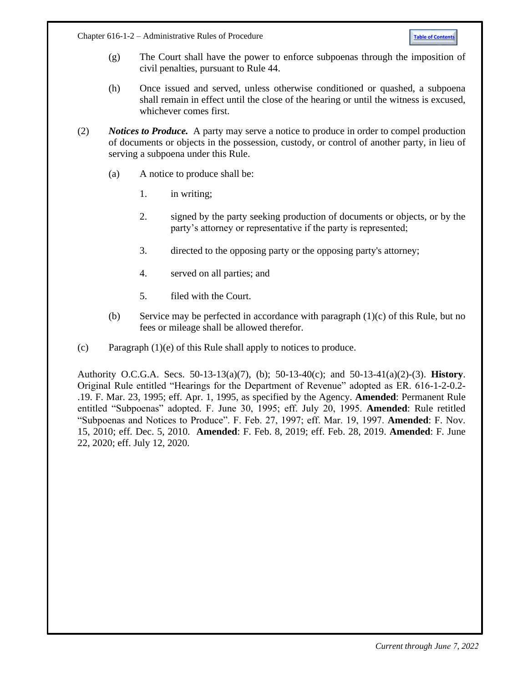Chapter 616-1-2 – Administrative Rules of Procedure **[Table of Contents](#page-0-1)** 

- (g) The Court shall have the power to enforce subpoenas through the imposition of civil penalties, pursuant to Rule 44.
- (h) Once issued and served, unless otherwise conditioned or quashed, a subpoena shall remain in effect until the close of the hearing or until the witness is excused, whichever comes first.
- (2) *Notices to Produce.* A party may serve a notice to produce in order to compel production of documents or objects in the possession, custody, or control of another party, in lieu of serving a subpoena under this Rule.
	- (a) A notice to produce shall be:
		- 1. in writing;
		- 2. signed by the party seeking production of documents or objects, or by the party's attorney or representative if the party is represented;
		- 3. directed to the opposing party or the opposing party's attorney;
		- 4. served on all parties; and
		- 5. filed with the Court.
	- (b) Service may be perfected in accordance with paragraph (1)(c) of this Rule, but no fees or mileage shall be allowed therefor.
- (c) Paragraph (1)(e) of this Rule shall apply to notices to produce.

Authority O.C.G.A. Secs. 50-13-13(a)(7), (b); 50-13-40(c); and 50-13-41(a)(2)-(3). **History**. Original Rule entitled "Hearings for the Department of Revenue" adopted as ER. 616-1-2-0.2- .19. F. Mar. 23, 1995; eff. Apr. 1, 1995, as specified by the Agency. **Amended**: Permanent Rule entitled "Subpoenas" adopted. F. June 30, 1995; eff. July 20, 1995. **Amended**: Rule retitled "Subpoenas and Notices to Produce". F. Feb. 27, 1997; eff. Mar. 19, 1997. **Amended**: F. Nov. 15, 2010; eff. Dec. 5, 2010. **Amended**: F. Feb. 8, 2019; eff. Feb. 28, 2019. **Amended**: F. June 22, 2020; eff. July 12, 2020.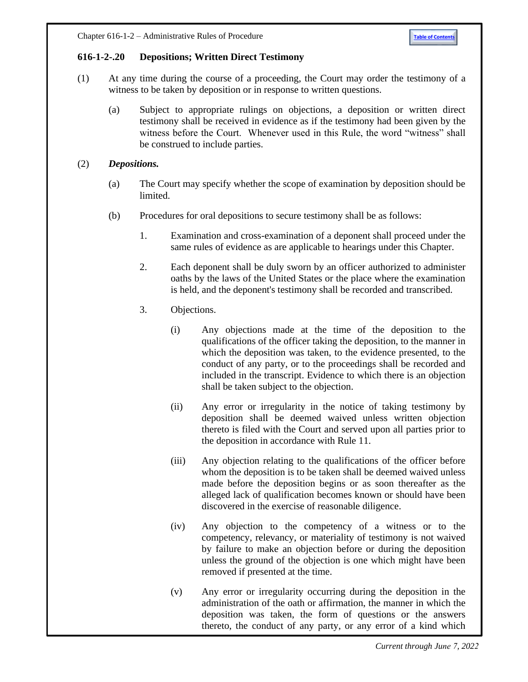## <span id="page-26-0"></span>**616-1-2-.20 Depositions; Written Direct Testimony**

- (1) At any time during the course of a proceeding, the Court may order the testimony of a witness to be taken by deposition or in response to written questions.
	- (a) Subject to appropriate rulings on objections, a deposition or written direct testimony shall be received in evidence as if the testimony had been given by the witness before the Court. Whenever used in this Rule, the word "witness" shall be construed to include parties.
- (2) *Depositions.*
	- (a) The Court may specify whether the scope of examination by deposition should be limited.
	- (b) Procedures for oral depositions to secure testimony shall be as follows:
		- 1. Examination and cross-examination of a deponent shall proceed under the same rules of evidence as are applicable to hearings under this Chapter.
		- 2. Each deponent shall be duly sworn by an officer authorized to administer oaths by the laws of the United States or the place where the examination is held, and the deponent's testimony shall be recorded and transcribed.
		- 3. Objections.
			- (i) Any objections made at the time of the deposition to the qualifications of the officer taking the deposition, to the manner in which the deposition was taken, to the evidence presented, to the conduct of any party, or to the proceedings shall be recorded and included in the transcript. Evidence to which there is an objection shall be taken subject to the objection.
			- (ii) Any error or irregularity in the notice of taking testimony by deposition shall be deemed waived unless written objection thereto is filed with the Court and served upon all parties prior to the deposition in accordance with Rule 11.
			- (iii) Any objection relating to the qualifications of the officer before whom the deposition is to be taken shall be deemed waived unless made before the deposition begins or as soon thereafter as the alleged lack of qualification becomes known or should have been discovered in the exercise of reasonable diligence.
			- (iv) Any objection to the competency of a witness or to the competency, relevancy, or materiality of testimony is not waived by failure to make an objection before or during the deposition unless the ground of the objection is one which might have been removed if presented at the time.
			- (v) Any error or irregularity occurring during the deposition in the administration of the oath or affirmation, the manner in which the deposition was taken, the form of questions or the answers thereto, the conduct of any party, or any error of a kind which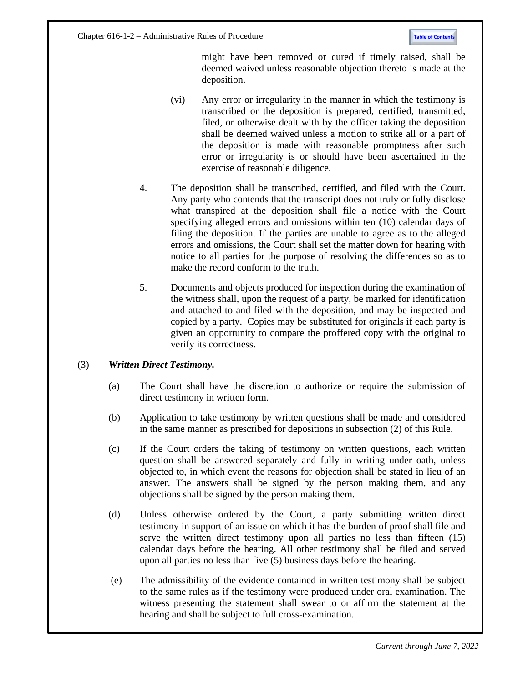Chapter 616-1-2 – Administrative Rules of Procedure **[Table of Contents](#page-0-1)** 

might have been removed or cured if timely raised, shall be deemed waived unless reasonable objection thereto is made at the deposition.

- (vi) Any error or irregularity in the manner in which the testimony is transcribed or the deposition is prepared, certified, transmitted, filed, or otherwise dealt with by the officer taking the deposition shall be deemed waived unless a motion to strike all or a part of the deposition is made with reasonable promptness after such error or irregularity is or should have been ascertained in the exercise of reasonable diligence.
- 4. The deposition shall be transcribed, certified, and filed with the Court. Any party who contends that the transcript does not truly or fully disclose what transpired at the deposition shall file a notice with the Court specifying alleged errors and omissions within ten (10) calendar days of filing the deposition. If the parties are unable to agree as to the alleged errors and omissions, the Court shall set the matter down for hearing with notice to all parties for the purpose of resolving the differences so as to make the record conform to the truth.
- 5. Documents and objects produced for inspection during the examination of the witness shall, upon the request of a party, be marked for identification and attached to and filed with the deposition, and may be inspected and copied by a party. Copies may be substituted for originals if each party is given an opportunity to compare the proffered copy with the original to verify its correctness.

## (3) *Written Direct Testimony.*

- (a) The Court shall have the discretion to authorize or require the submission of direct testimony in written form.
- (b) Application to take testimony by written questions shall be made and considered in the same manner as prescribed for depositions in subsection (2) of this Rule.
- (c) If the Court orders the taking of testimony on written questions, each written question shall be answered separately and fully in writing under oath, unless objected to, in which event the reasons for objection shall be stated in lieu of an answer. The answers shall be signed by the person making them, and any objections shall be signed by the person making them.
- (d) Unless otherwise ordered by the Court, a party submitting written direct testimony in support of an issue on which it has the burden of proof shall file and serve the written direct testimony upon all parties no less than fifteen (15) calendar days before the hearing. All other testimony shall be filed and served upon all parties no less than five (5) business days before the hearing.
- (e) The admissibility of the evidence contained in written testimony shall be subject to the same rules as if the testimony were produced under oral examination. The witness presenting the statement shall swear to or affirm the statement at the hearing and shall be subject to full cross-examination.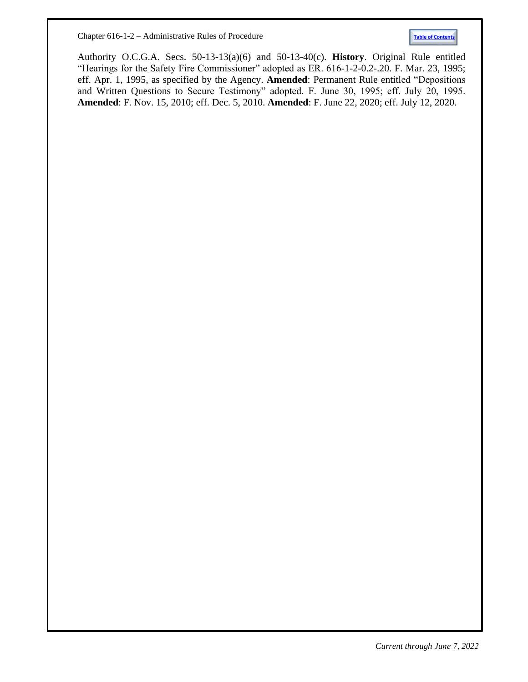Chapter 616-1-2 – Administrative Rules of Procedure **[Table of Contents](#page-0-1)**



Authority O.C.G.A. Secs. 50-13-13(a)(6) and 50-13-40(c). **History**. Original Rule entitled "Hearings for the Safety Fire Commissioner" adopted as ER. 616-1-2-0.2-.20. F. Mar. 23, 1995; eff. Apr. 1, 1995, as specified by the Agency. **Amended**: Permanent Rule entitled "Depositions and Written Questions to Secure Testimony" adopted. F. June 30, 1995; eff. July 20, 1995. **Amended**: F. Nov. 15, 2010; eff. Dec. 5, 2010. **Amended**: F. June 22, 2020; eff. July 12, 2020.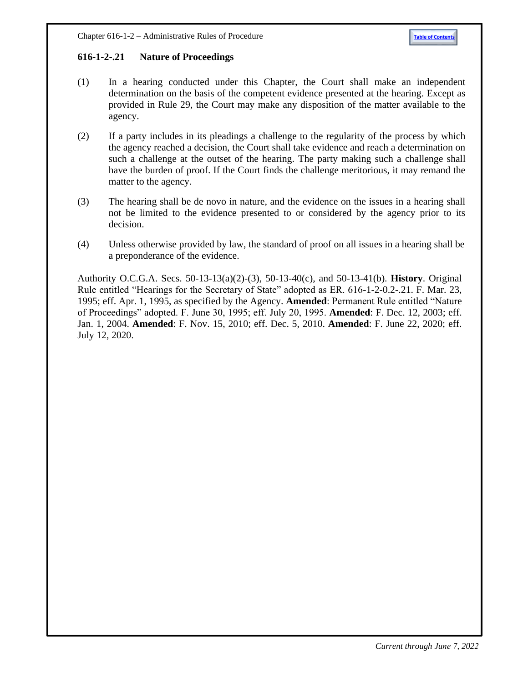## <span id="page-29-0"></span>**616-1-2-.21 Nature of Proceedings**

- (1) In a hearing conducted under this Chapter, the Court shall make an independent determination on the basis of the competent evidence presented at the hearing. Except as provided in Rule 29, the Court may make any disposition of the matter available to the agency.
- (2) If a party includes in its pleadings a challenge to the regularity of the process by which the agency reached a decision, the Court shall take evidence and reach a determination on such a challenge at the outset of the hearing. The party making such a challenge shall have the burden of proof. If the Court finds the challenge meritorious, it may remand the matter to the agency.
- (3) The hearing shall be de novo in nature, and the evidence on the issues in a hearing shall not be limited to the evidence presented to or considered by the agency prior to its decision.
- (4) Unless otherwise provided by law, the standard of proof on all issues in a hearing shall be a preponderance of the evidence.

Authority O.C.G.A. Secs. 50-13-13(a)(2)-(3), 50-13-40(c), and 50-13-41(b). **History**. Original Rule entitled "Hearings for the Secretary of State" adopted as ER. 616-1-2-0.2-.21. F. Mar. 23, 1995; eff. Apr. 1, 1995, as specified by the Agency. **Amended**: Permanent Rule entitled "Nature of Proceedings" adopted. F. June 30, 1995; eff. July 20, 1995. **Amended**: F. Dec. 12, 2003; eff. Jan. 1, 2004. **Amended**: F. Nov. 15, 2010; eff. Dec. 5, 2010. **Amended**: F. June 22, 2020; eff. July 12, 2020.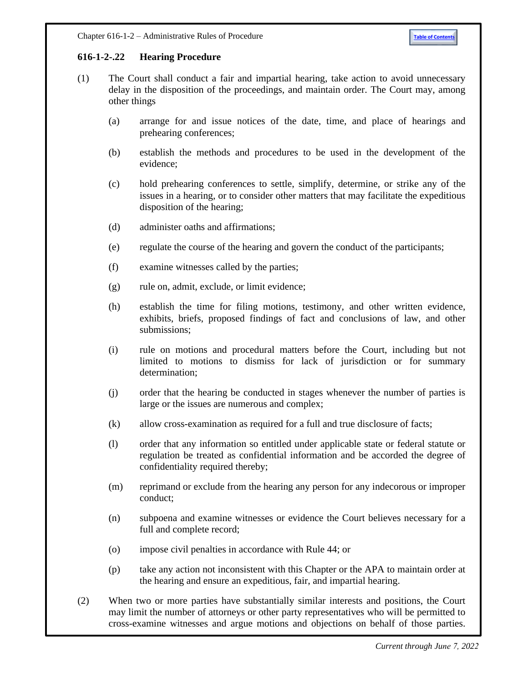# <span id="page-30-0"></span>**616-1-2-.22 Hearing Procedure**

- (1) The Court shall conduct a fair and impartial hearing, take action to avoid unnecessary delay in the disposition of the proceedings, and maintain order. The Court may, among other things
	- (a) arrange for and issue notices of the date, time, and place of hearings and prehearing conferences;
	- (b) establish the methods and procedures to be used in the development of the evidence;
	- (c) hold prehearing conferences to settle, simplify, determine, or strike any of the issues in a hearing, or to consider other matters that may facilitate the expeditious disposition of the hearing;
	- (d) administer oaths and affirmations;
	- (e) regulate the course of the hearing and govern the conduct of the participants;
	- (f) examine witnesses called by the parties;
	- (g) rule on, admit, exclude, or limit evidence;
	- (h) establish the time for filing motions, testimony, and other written evidence, exhibits, briefs, proposed findings of fact and conclusions of law, and other submissions;
	- (i) rule on motions and procedural matters before the Court, including but not limited to motions to dismiss for lack of jurisdiction or for summary determination;
	- (j) order that the hearing be conducted in stages whenever the number of parties is large or the issues are numerous and complex;
	- (k) allow cross-examination as required for a full and true disclosure of facts;
	- (l) order that any information so entitled under applicable state or federal statute or regulation be treated as confidential information and be accorded the degree of confidentiality required thereby;
	- (m) reprimand or exclude from the hearing any person for any indecorous or improper conduct;
	- (n) subpoena and examine witnesses or evidence the Court believes necessary for a full and complete record;
	- (o) impose civil penalties in accordance with Rule 44; or
	- (p) take any action not inconsistent with this Chapter or the APA to maintain order at the hearing and ensure an expeditious, fair, and impartial hearing.
- (2) When two or more parties have substantially similar interests and positions, the Court may limit the number of attorneys or other party representatives who will be permitted to cross-examine witnesses and argue motions and objections on behalf of those parties.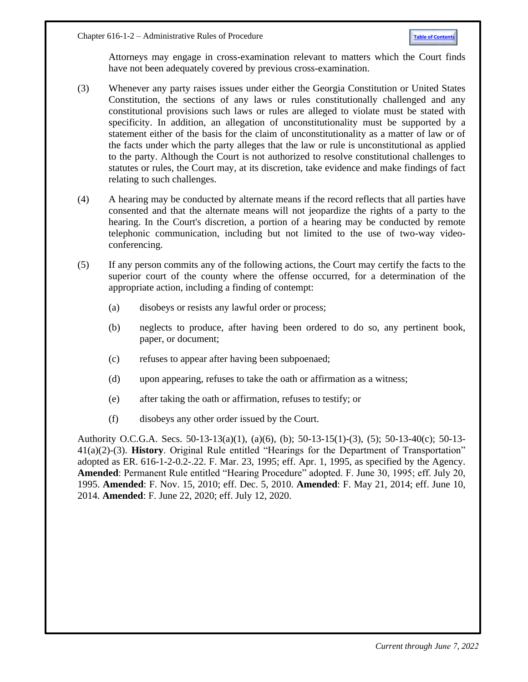Attorneys may engage in cross-examination relevant to matters which the Court finds have not been adequately covered by previous cross-examination.

- (3) Whenever any party raises issues under either the Georgia Constitution or United States Constitution, the sections of any laws or rules constitutionally challenged and any constitutional provisions such laws or rules are alleged to violate must be stated with specificity. In addition, an allegation of unconstitutionality must be supported by a statement either of the basis for the claim of unconstitutionality as a matter of law or of the facts under which the party alleges that the law or rule is unconstitutional as applied to the party. Although the Court is not authorized to resolve constitutional challenges to statutes or rules, the Court may, at its discretion, take evidence and make findings of fact relating to such challenges.
- (4) A hearing may be conducted by alternate means if the record reflects that all parties have consented and that the alternate means will not jeopardize the rights of a party to the hearing. In the Court's discretion, a portion of a hearing may be conducted by remote telephonic communication, including but not limited to the use of two-way videoconferencing.
- (5) If any person commits any of the following actions, the Court may certify the facts to the superior court of the county where the offense occurred, for a determination of the appropriate action, including a finding of contempt:
	- (a) disobeys or resists any lawful order or process;
	- (b) neglects to produce, after having been ordered to do so, any pertinent book, paper, or document;
	- (c) refuses to appear after having been subpoenaed;
	- (d) upon appearing, refuses to take the oath or affirmation as a witness;
	- (e) after taking the oath or affirmation, refuses to testify; or
	- (f) disobeys any other order issued by the Court.

Authority O.C.G.A. Secs. 50-13-13(a)(1), (a)(6), (b); 50-13-15(1)-(3), (5); 50-13-40(c); 50-13- 41(a)(2)-(3). **History**. Original Rule entitled "Hearings for the Department of Transportation" adopted as ER. 616-1-2-0.2-.22. F. Mar. 23, 1995; eff. Apr. 1, 1995, as specified by the Agency. **Amended**: Permanent Rule entitled "Hearing Procedure" adopted. F. June 30, 1995; eff. July 20, 1995. **Amended**: F. Nov. 15, 2010; eff. Dec. 5, 2010. **Amended**: F. May 21, 2014; eff. June 10, 2014. **Amended**: F. June 22, 2020; eff. July 12, 2020.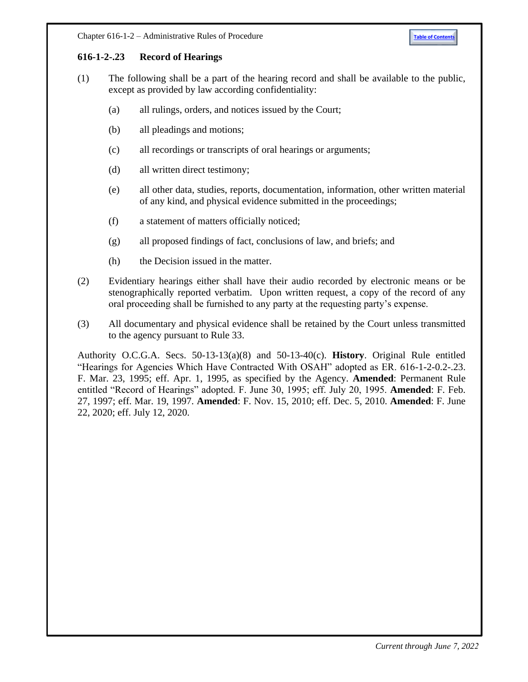## <span id="page-32-0"></span>**616-1-2-.23 Record of Hearings**

- (1) The following shall be a part of the hearing record and shall be available to the public, except as provided by law according confidentiality:
	- (a) all rulings, orders, and notices issued by the Court;
	- (b) all pleadings and motions;
	- (c) all recordings or transcripts of oral hearings or arguments;
	- (d) all written direct testimony;
	- (e) all other data, studies, reports, documentation, information, other written material of any kind, and physical evidence submitted in the proceedings;
	- (f) a statement of matters officially noticed;
	- (g) all proposed findings of fact, conclusions of law, and briefs; and
	- (h) the Decision issued in the matter.
- (2) Evidentiary hearings either shall have their audio recorded by electronic means or be stenographically reported verbatim. Upon written request, a copy of the record of any oral proceeding shall be furnished to any party at the requesting party's expense.
- (3) All documentary and physical evidence shall be retained by the Court unless transmitted to the agency pursuant to Rule 33.

Authority O.C.G.A. Secs. 50-13-13(a)(8) and 50-13-40(c). **History**. Original Rule entitled "Hearings for Agencies Which Have Contracted With OSAH" adopted as ER. 616-1-2-0.2-.23. F. Mar. 23, 1995; eff. Apr. 1, 1995, as specified by the Agency. **Amended**: Permanent Rule entitled "Record of Hearings" adopted. F. June 30, 1995; eff. July 20, 1995. **Amended**: F. Feb. 27, 1997; eff. Mar. 19, 1997. **Amended**: F. Nov. 15, 2010; eff. Dec. 5, 2010. **Amended**: F. June 22, 2020; eff. July 12, 2020.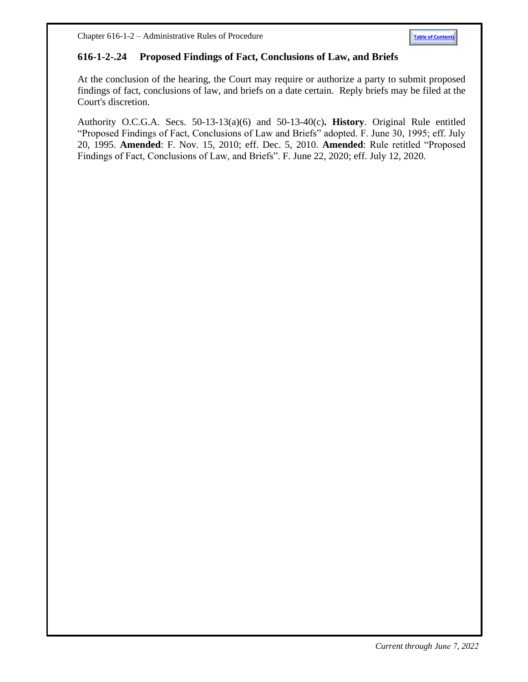<span id="page-33-0"></span>Chapter 616-1-2 – Administrative Rules of Procedure **[Table of Contents](#page-0-1)** 

## **616-1-2-.24 Proposed Findings of Fact, Conclusions of Law, and Briefs**

At the conclusion of the hearing, the Court may require or authorize a party to submit proposed findings of fact, conclusions of law, and briefs on a date certain. Reply briefs may be filed at the Court's discretion.

Authority O.C.G.A. Secs. 50-13-13(a)(6) and 50-13-40(c)**. History**. Original Rule entitled "Proposed Findings of Fact, Conclusions of Law and Briefs" adopted. F. June 30, 1995; eff. July 20, 1995. **Amended**: F. Nov. 15, 2010; eff. Dec. 5, 2010. **Amended**: Rule retitled "Proposed Findings of Fact, Conclusions of Law, and Briefs". F. June 22, 2020; eff. July 12, 2020.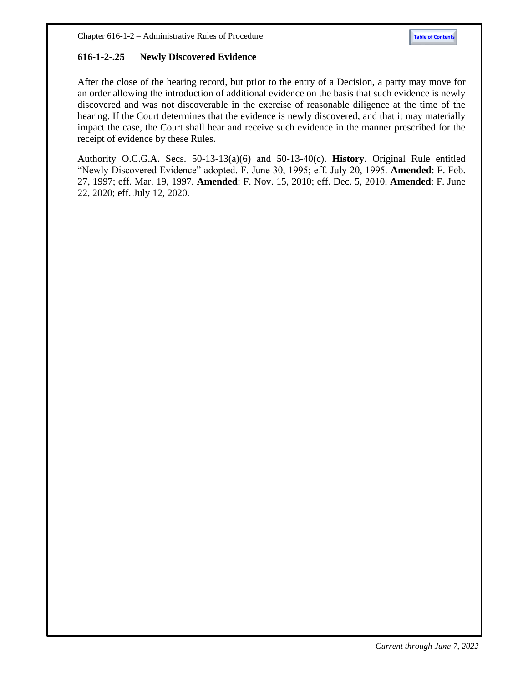## <span id="page-34-0"></span>**616-1-2-.25 Newly Discovered Evidence**

After the close of the hearing record, but prior to the entry of a Decision, a party may move for an order allowing the introduction of additional evidence on the basis that such evidence is newly discovered and was not discoverable in the exercise of reasonable diligence at the time of the hearing. If the Court determines that the evidence is newly discovered, and that it may materially impact the case, the Court shall hear and receive such evidence in the manner prescribed for the receipt of evidence by these Rules.

Authority O.C.G.A. Secs. 50-13-13(a)(6) and 50-13-40(c). **History**. Original Rule entitled "Newly Discovered Evidence" adopted. F. June 30, 1995; eff. July 20, 1995. **Amended**: F. Feb. 27, 1997; eff. Mar. 19, 1997. **Amended**: F. Nov. 15, 2010; eff. Dec. 5, 2010. **Amended**: F. June 22, 2020; eff. July 12, 2020.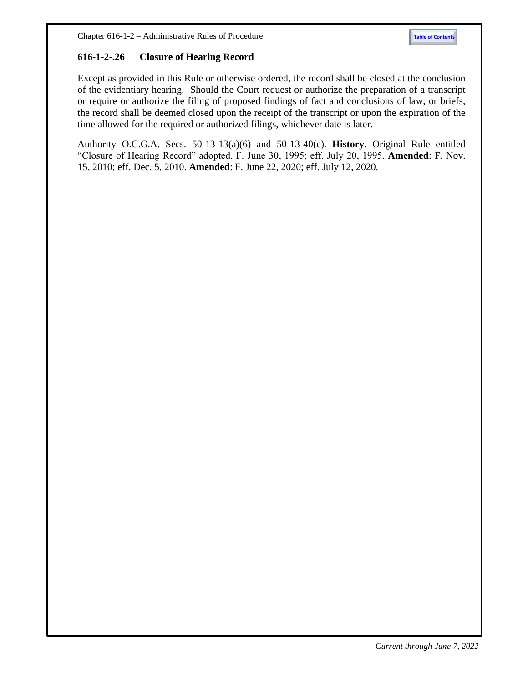## <span id="page-35-0"></span>**616-1-2-.26 Closure of Hearing Record**

Except as provided in this Rule or otherwise ordered, the record shall be closed at the conclusion of the evidentiary hearing. Should the Court request or authorize the preparation of a transcript or require or authorize the filing of proposed findings of fact and conclusions of law, or briefs, the record shall be deemed closed upon the receipt of the transcript or upon the expiration of the time allowed for the required or authorized filings, whichever date is later.

Authority O.C.G.A. Secs. 50-13-13(a)(6) and 50-13-40(c). **History**. Original Rule entitled "Closure of Hearing Record" adopted. F. June 30, 1995; eff. July 20, 1995. **Amended**: F. Nov. 15, 2010; eff. Dec. 5, 2010. **Amended**: F. June 22, 2020; eff. July 12, 2020.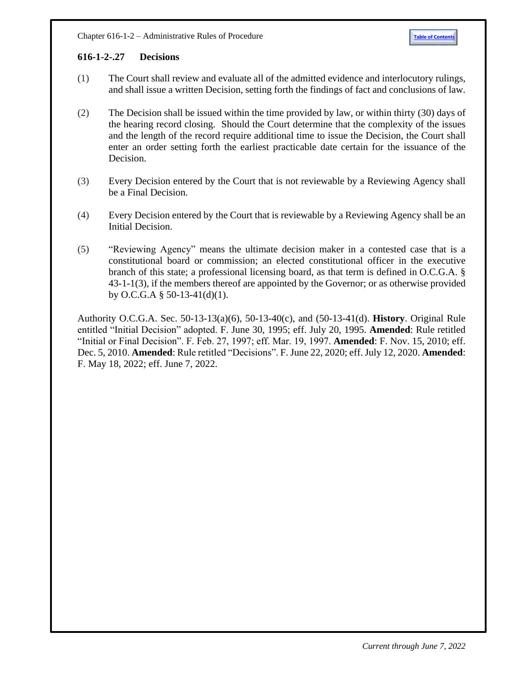## <span id="page-36-0"></span>**616-1-2-.27 Decisions**

- (1) The Court shall review and evaluate all of the admitted evidence and interlocutory rulings, and shall issue a written Decision, setting forth the findings of fact and conclusions of law.
- (2) The Decision shall be issued within the time provided by law, or within thirty (30) days of the hearing record closing. Should the Court determine that the complexity of the issues and the length of the record require additional time to issue the Decision, the Court shall enter an order setting forth the earliest practicable date certain for the issuance of the Decision.
- (3) Every Decision entered by the Court that is not reviewable by a Reviewing Agency shall be a Final Decision.
- (4) Every Decision entered by the Court that is reviewable by a Reviewing Agency shall be an Initial Decision.
- (5) "Reviewing Agency" means the ultimate decision maker in a contested case that is a constitutional board or commission; an elected constitutional officer in the executive branch of this state; a professional licensing board, as that term is defined in O.C.G.A. § 43-1-1(3), if the members thereof are appointed by the Governor; or as otherwise provided by O.C.G.A  $\S$  50-13-41(d)(1).

Authority O.C.G.A. Sec. 50-13-13(a)(6), 50-13-40(c), and (50-13-41(d). **History**. Original Rule entitled "Initial Decision" adopted. F. June 30, 1995; eff. July 20, 1995. **Amended**: Rule retitled "Initial or Final Decision". F. Feb. 27, 1997; eff. Mar. 19, 1997. **Amended**: F. Nov. 15, 2010; eff. Dec. 5, 2010. **Amended**: Rule retitled "Decisions". F. June 22, 2020; eff. July 12, 2020. **Amended**: F. May 18, 2022; eff. June 7, 2022.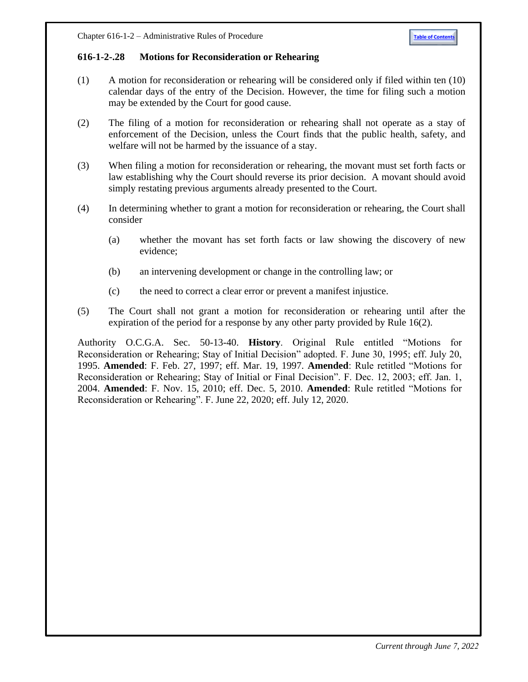## <span id="page-37-0"></span>**616-1-2-.28 Motions for Reconsideration or Rehearing**

- (1) A motion for reconsideration or rehearing will be considered only if filed within ten (10) calendar days of the entry of the Decision. However, the time for filing such a motion may be extended by the Court for good cause.
- (2) The filing of a motion for reconsideration or rehearing shall not operate as a stay of enforcement of the Decision, unless the Court finds that the public health, safety, and welfare will not be harmed by the issuance of a stay.
- (3) When filing a motion for reconsideration or rehearing, the movant must set forth facts or law establishing why the Court should reverse its prior decision. A movant should avoid simply restating previous arguments already presented to the Court.
- (4) In determining whether to grant a motion for reconsideration or rehearing, the Court shall consider
	- (a) whether the movant has set forth facts or law showing the discovery of new evidence;
	- (b) an intervening development or change in the controlling law; or
	- (c) the need to correct a clear error or prevent a manifest injustice.
- (5) The Court shall not grant a motion for reconsideration or rehearing until after the expiration of the period for a response by any other party provided by Rule 16(2).

Authority O.C.G.A. Sec. 50-13-40. **History**. Original Rule entitled "Motions for Reconsideration or Rehearing; Stay of Initial Decision" adopted. F. June 30, 1995; eff. July 20, 1995. **Amended**: F. Feb. 27, 1997; eff. Mar. 19, 1997. **Amended**: Rule retitled "Motions for Reconsideration or Rehearing; Stay of Initial or Final Decision". F. Dec. 12, 2003; eff. Jan. 1, 2004. **Amended**: F. Nov. 15, 2010; eff. Dec. 5, 2010. **Amended**: Rule retitled "Motions for Reconsideration or Rehearing". F. June 22, 2020; eff. July 12, 2020.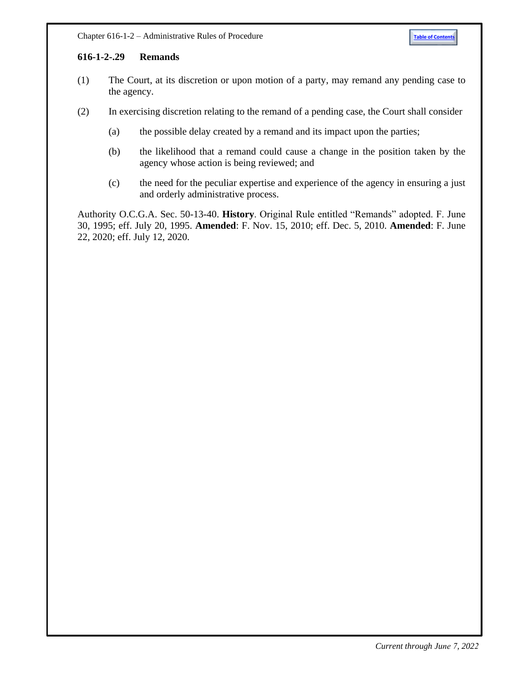## <span id="page-38-0"></span>**[616-1-2-.29 Remands](http://rules.sos.state.ga.us/GAC/616-1-2-.29)**

- (1) The Court, at its discretion or upon motion of a party, may remand any pending case to the agency.
- (2) In exercising discretion relating to the remand of a pending case, the Court shall consider
	- (a) the possible delay created by a remand and its impact upon the parties;
	- (b) the likelihood that a remand could cause a change in the position taken by the agency whose action is being reviewed; and
	- (c) the need for the peculiar expertise and experience of the agency in ensuring a just and orderly administrative process.

Authority O.C.G.A. Sec. 50-13-40. **History**. Original Rule entitled "Remands" adopted. F. June 30, 1995; eff. July 20, 1995. **Amended**: F. Nov. 15, 2010; eff. Dec. 5, 2010. **Amended**: F. June 22, 2020; eff. July 12, 2020.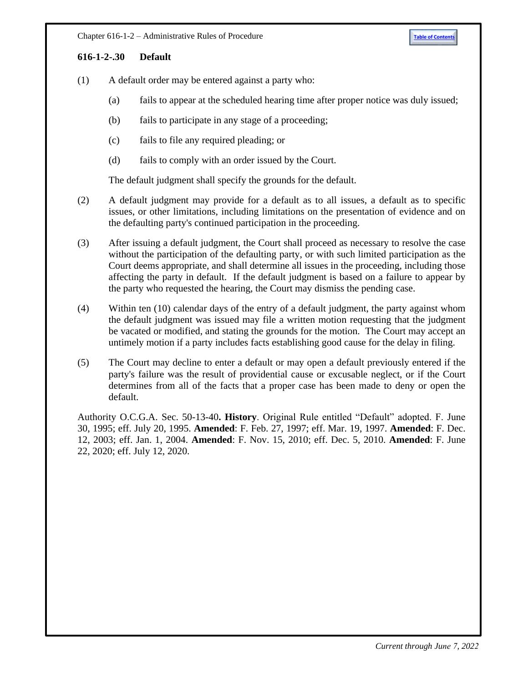## <span id="page-39-0"></span>**[616-1-2-.30 Default](http://rules.sos.state.ga.us/GAC/616-1-2-.30)**

- (1) A default order may be entered against a party who:
	- (a) fails to appear at the scheduled hearing time after proper notice was duly issued;
	- (b) fails to participate in any stage of a proceeding;
	- (c) fails to file any required pleading; or
	- (d) fails to comply with an order issued by the Court.

The default judgment shall specify the grounds for the default.

- (2) A default judgment may provide for a default as to all issues, a default as to specific issues, or other limitations, including limitations on the presentation of evidence and on the defaulting party's continued participation in the proceeding.
- (3) After issuing a default judgment, the Court shall proceed as necessary to resolve the case without the participation of the defaulting party, or with such limited participation as the Court deems appropriate, and shall determine all issues in the proceeding, including those affecting the party in default. If the default judgment is based on a failure to appear by the party who requested the hearing, the Court may dismiss the pending case.
- (4) Within ten (10) calendar days of the entry of a default judgment, the party against whom the default judgment was issued may file a written motion requesting that the judgment be vacated or modified, and stating the grounds for the motion. The Court may accept an untimely motion if a party includes facts establishing good cause for the delay in filing.
- (5) The Court may decline to enter a default or may open a default previously entered if the party's failure was the result of providential cause or excusable neglect, or if the Court determines from all of the facts that a proper case has been made to deny or open the default.

Authority O.C.G.A. Sec. 50-13-40**. History**. Original Rule entitled "Default" adopted. F. June 30, 1995; eff. July 20, 1995. **Amended**: F. Feb. 27, 1997; eff. Mar. 19, 1997. **Amended**: F. Dec. 12, 2003; eff. Jan. 1, 2004. **Amended**: F. Nov. 15, 2010; eff. Dec. 5, 2010. **Amended**: F. June 22, 2020; eff. July 12, 2020.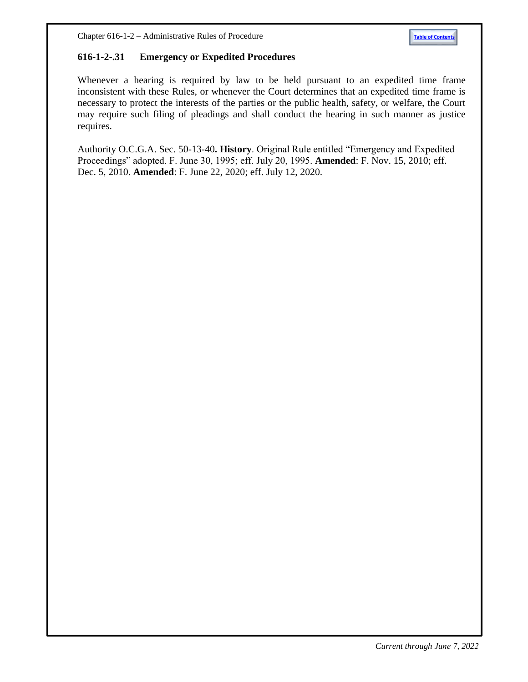# <span id="page-40-0"></span>**616-1-2-.31 Emergency or Expedited Procedures**

Whenever a hearing is required by law to be held pursuant to an expedited time frame inconsistent with these Rules, or whenever the Court determines that an expedited time frame is necessary to protect the interests of the parties or the public health, safety, or welfare, the Court may require such filing of pleadings and shall conduct the hearing in such manner as justice requires.

Authority O.C.G.A. Sec. 50-13-40**. History**. Original Rule entitled "Emergency and Expedited Proceedings" adopted. F. June 30, 1995; eff. July 20, 1995. **Amended**: F. Nov. 15, 2010; eff. Dec. 5, 2010. **Amended**: F. June 22, 2020; eff. July 12, 2020.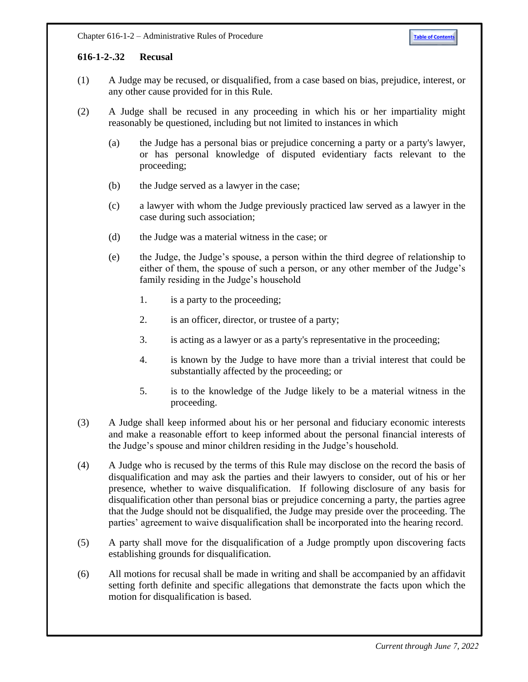## <span id="page-41-0"></span>**616-1-2-.32 Recusal**

- (1) A Judge may be recused, or disqualified, from a case based on bias, prejudice, interest, or any other cause provided for in this Rule.
- (2) A Judge shall be recused in any proceeding in which his or her impartiality might reasonably be questioned, including but not limited to instances in which
	- (a) the Judge has a personal bias or prejudice concerning a party or a party's lawyer, or has personal knowledge of disputed evidentiary facts relevant to the proceeding;
	- (b) the Judge served as a lawyer in the case;
	- (c) a lawyer with whom the Judge previously practiced law served as a lawyer in the case during such association;
	- (d) the Judge was a material witness in the case; or
	- (e) the Judge, the Judge's spouse, a person within the third degree of relationship to either of them, the spouse of such a person, or any other member of the Judge's family residing in the Judge's household
		- 1. is a party to the proceeding;
		- 2. is an officer, director, or trustee of a party;
		- 3. is acting as a lawyer or as a party's representative in the proceeding;
		- 4. is known by the Judge to have more than a trivial interest that could be substantially affected by the proceeding; or
		- 5. is to the knowledge of the Judge likely to be a material witness in the proceeding.
- (3) A Judge shall keep informed about his or her personal and fiduciary economic interests and make a reasonable effort to keep informed about the personal financial interests of the Judge's spouse and minor children residing in the Judge's household.
- (4) A Judge who is recused by the terms of this Rule may disclose on the record the basis of disqualification and may ask the parties and their lawyers to consider, out of his or her presence, whether to waive disqualification. If following disclosure of any basis for disqualification other than personal bias or prejudice concerning a party, the parties agree that the Judge should not be disqualified, the Judge may preside over the proceeding. The parties' agreement to waive disqualification shall be incorporated into the hearing record.
- (5) A party shall move for the disqualification of a Judge promptly upon discovering facts establishing grounds for disqualification.
- (6) All motions for recusal shall be made in writing and shall be accompanied by an affidavit setting forth definite and specific allegations that demonstrate the facts upon which the motion for disqualification is based.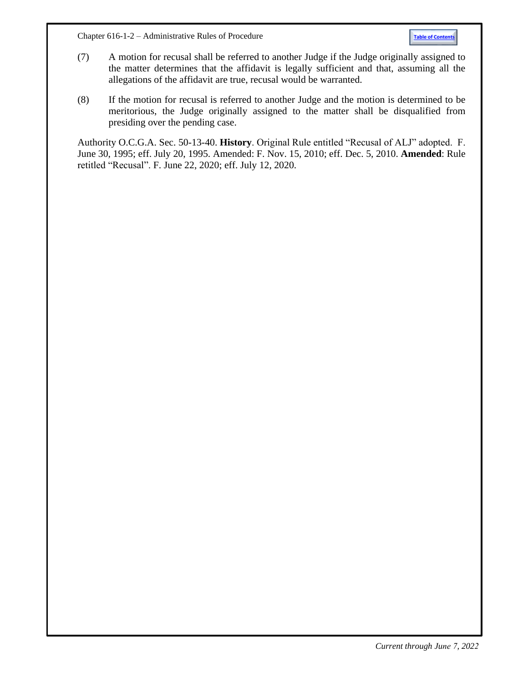Chapter 616-1-2 – Administrative Rules of Procedure **[Table of Contents](#page-0-1)**

- (7) A motion for recusal shall be referred to another Judge if the Judge originally assigned to the matter determines that the affidavit is legally sufficient and that, assuming all the allegations of the affidavit are true, recusal would be warranted.
- (8) If the motion for recusal is referred to another Judge and the motion is determined to be meritorious, the Judge originally assigned to the matter shall be disqualified from presiding over the pending case.

Authority O.C.G.A. Sec. 50-13-40. **History**. Original Rule entitled "Recusal of ALJ" adopted. F. June 30, 1995; eff. July 20, 1995. Amended: F. Nov. 15, 2010; eff. Dec. 5, 2010. **Amended**: Rule retitled "Recusal". F. June 22, 2020; eff. July 12, 2020.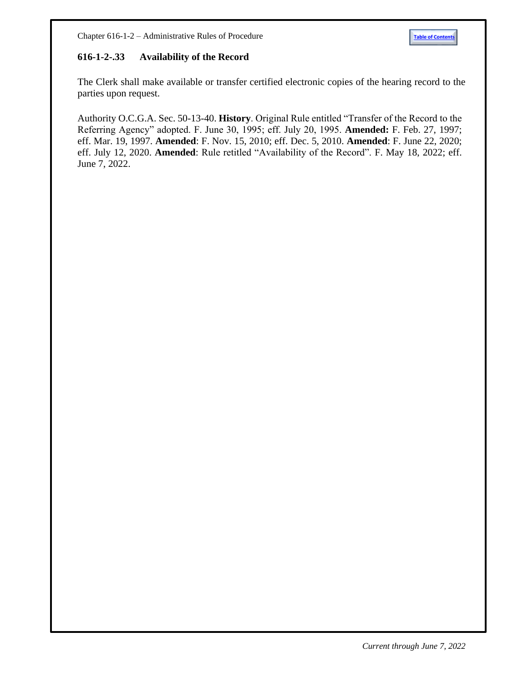# <span id="page-43-0"></span>**616-1-2-.33 Availability of the Record**

The Clerk shall make available or transfer certified electronic copies of the hearing record to the parties upon request.

Authority O.C.G.A. Sec. 50-13-40. **History**. Original Rule entitled "Transfer of the Record to the Referring Agency" adopted. F. June 30, 1995; eff. July 20, 1995. **Amended:** F. Feb. 27, 1997; eff. Mar. 19, 1997. **Amended**: F. Nov. 15, 2010; eff. Dec. 5, 2010. **Amended**: F. June 22, 2020; eff. July 12, 2020. **Amended**: Rule retitled "Availability of the Record". F. May 18, 2022; eff. June 7, 2022.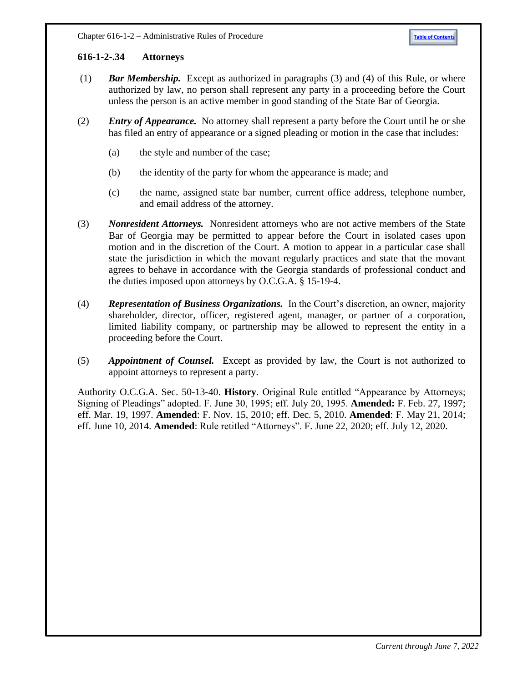## <span id="page-44-0"></span>**616-1-2-.34 Attorneys**

- (1) *Bar Membership.* Except as authorized in paragraphs (3) and (4) of this Rule, or where authorized by law, no person shall represent any party in a proceeding before the Court unless the person is an active member in good standing of the State Bar of Georgia.
- (2) *Entry of Appearance.* No attorney shall represent a party before the Court until he or she has filed an entry of appearance or a signed pleading or motion in the case that includes:
	- (a) the style and number of the case;
	- (b) the identity of the party for whom the appearance is made; and
	- (c) the name, assigned state bar number, current office address, telephone number, and email address of the attorney.
- (3) *Nonresident Attorneys.* Nonresident attorneys who are not active members of the State Bar of Georgia may be permitted to appear before the Court in isolated cases upon motion and in the discretion of the Court. A motion to appear in a particular case shall state the jurisdiction in which the movant regularly practices and state that the movant agrees to behave in accordance with the Georgia standards of professional conduct and the duties imposed upon attorneys by O.C.G.A. § 15-19-4.
- (4) *Representation of Business Organizations.* In the Court's discretion, an owner, majority shareholder, director, officer, registered agent, manager, or partner of a corporation, limited liability company, or partnership may be allowed to represent the entity in a proceeding before the Court.
- (5) *Appointment of Counsel.* Except as provided by law, the Court is not authorized to appoint attorneys to represent a party.

Authority O.C.G.A. Sec. 50-13-40. **History**. Original Rule entitled "Appearance by Attorneys; Signing of Pleadings" adopted. F. June 30, 1995; eff. July 20, 1995. **Amended:** F. Feb. 27, 1997; eff. Mar. 19, 1997. **Amended**: F. Nov. 15, 2010; eff. Dec. 5, 2010. **Amended**: F. May 21, 2014; eff. June 10, 2014. **Amended**: Rule retitled "Attorneys". F. June 22, 2020; eff. July 12, 2020.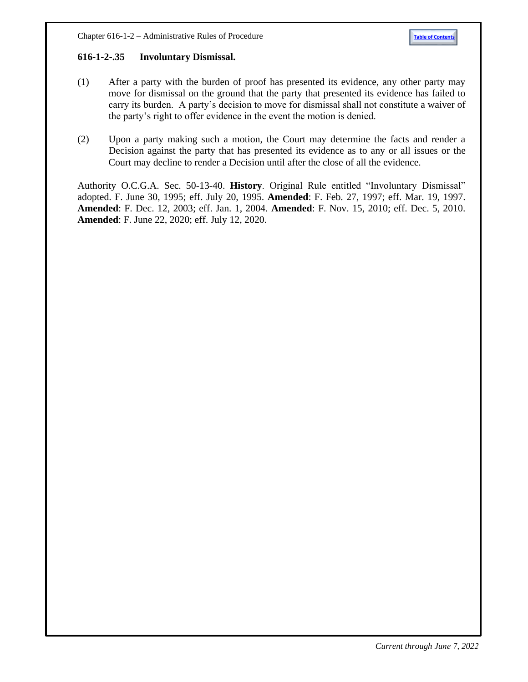#### <span id="page-45-0"></span>**616-1-2-.35 Involuntary Dismissal.**

- (1) After a party with the burden of proof has presented its evidence, any other party may move for dismissal on the ground that the party that presented its evidence has failed to carry its burden. A party's decision to move for dismissal shall not constitute a waiver of the party's right to offer evidence in the event the motion is denied.
- (2) Upon a party making such a motion, the Court may determine the facts and render a Decision against the party that has presented its evidence as to any or all issues or the Court may decline to render a Decision until after the close of all the evidence.

Authority O.C.G.A. Sec. 50-13-40. **History**. Original Rule entitled "Involuntary Dismissal" adopted. F. June 30, 1995; eff. July 20, 1995. **Amended**: F. Feb. 27, 1997; eff. Mar. 19, 1997. **Amended**: F. Dec. 12, 2003; eff. Jan. 1, 2004. **Amended**: F. Nov. 15, 2010; eff. Dec. 5, 2010. **Amended**: F. June 22, 2020; eff. July 12, 2020.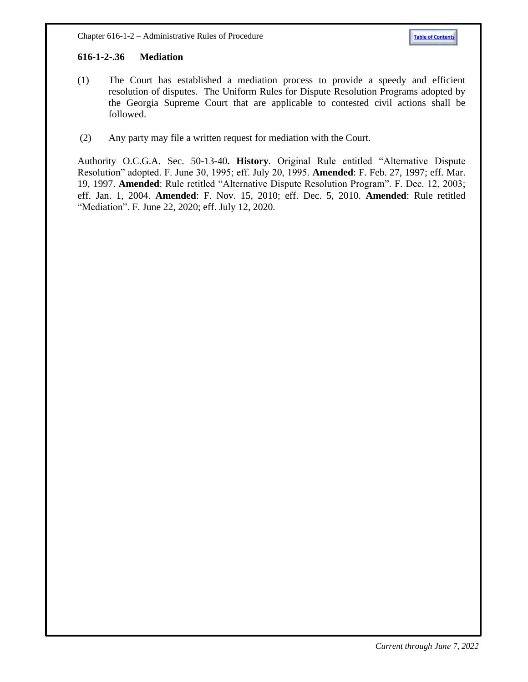## <span id="page-46-0"></span>**[616-1-2-.36 M](http://rules.sos.state.ga.us/GAC/616-1-2-.36)ediation**

- (1) The Court has established a mediation process to provide a speedy and efficient resolution of disputes. The Uniform Rules for Dispute Resolution Programs adopted by the Georgia Supreme Court that are applicable to contested civil actions shall be followed.
- (2) Any party may file a written request for mediation with the Court.

Authority O.C.G.A. Sec. 50-13-40**. History**. Original Rule entitled "Alternative Dispute Resolution" adopted. F. June 30, 1995; eff. July 20, 1995. **Amended**: F. Feb. 27, 1997; eff. Mar. 19, 1997. **Amended**: Rule retitled "Alternative Dispute Resolution Program". F. Dec. 12, 2003; eff. Jan. 1, 2004. **Amended**: F. Nov. 15, 2010; eff. Dec. 5, 2010. **Amended**: Rule retitled "Mediation". F. June 22, 2020; eff. July 12, 2020.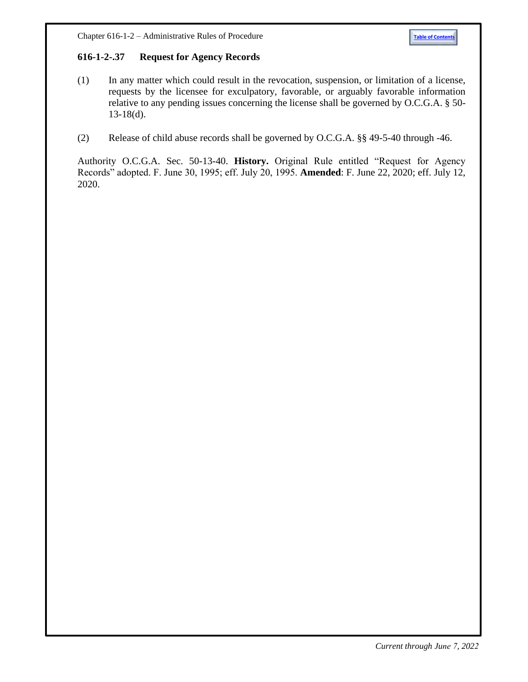## <span id="page-47-0"></span>**[616-1-2-.37 Request for Agency Records](http://rules.sos.state.ga.us/GAC/616-1-2-.37)**

- (1) In any matter which could result in the revocation, suspension, or limitation of a license, requests by the licensee for exculpatory, favorable, or arguably favorable information relative to any pending issues concerning the license shall be governed by O.C.G.A. § 50-  $13-18(d)$ .
- (2) Release of child abuse records shall be governed by O.C.G.A. §§ 49-5-40 through -46.

Authority O.C.G.A. Sec. 50-13-40. **History.** Original Rule entitled "Request for Agency Records" adopted. F. June 30, 1995; eff. July 20, 1995. **Amended**: F. June 22, 2020; eff. July 12, 2020.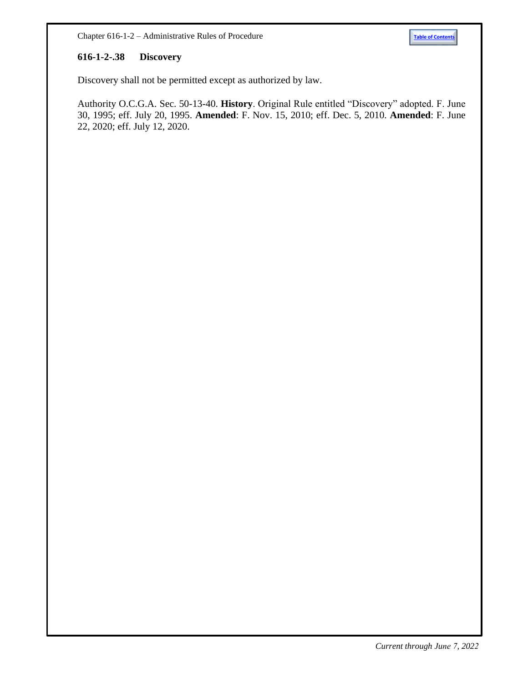#### <span id="page-48-0"></span>**[616-1-2-.38 Discovery](http://rules.sos.state.ga.us/GAC/616-1-2-.38)**

Discovery shall not be permitted except as authorized by law.

Authority O.C.G.A. Sec. 50-13-40. **History**. Original Rule entitled "Discovery" adopted. F. June 30, 1995; eff. July 20, 1995. **Amended**: F. Nov. 15, 2010; eff. Dec. 5, 2010. **Amended**: F. June 22, 2020; eff. July 12, 2020.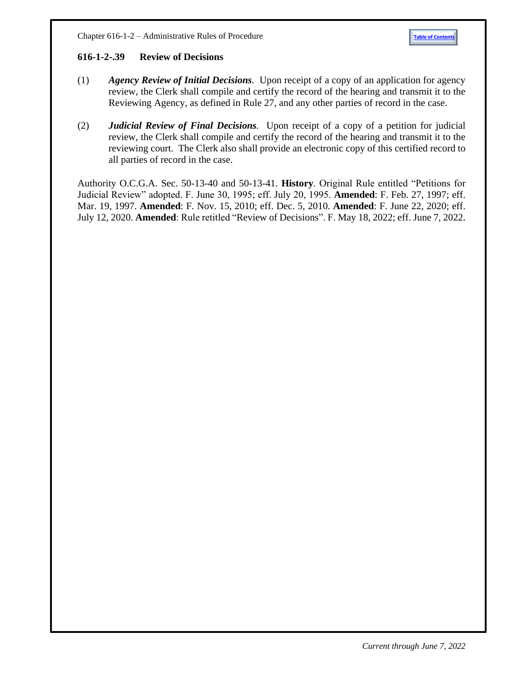#### <span id="page-49-0"></span>**[616-1-2-.39 Review](http://rules.sos.state.ga.us/GAC/616-1-2-.39) of Decisions**

- (1) *Agency Review of Initial Decisions.* Upon receipt of a copy of an application for agency review, the Clerk shall compile and certify the record of the hearing and transmit it to the Reviewing Agency, as defined in Rule 27, and any other parties of record in the case.
- (2) *Judicial Review of Final Decisions.* Upon receipt of a copy of a petition for judicial review, the Clerk shall compile and certify the record of the hearing and transmit it to the reviewing court. The Clerk also shall provide an electronic copy of this certified record to all parties of record in the case.

Authority O.C.G.A. Sec. 50-13-40 and 50-13-41. **History**. Original Rule entitled "Petitions for Judicial Review" adopted. F. June 30, 1995; eff. July 20, 1995. **Amended**: F. Feb. 27, 1997; eff. Mar. 19, 1997. **Amended**: F. Nov. 15, 2010; eff. Dec. 5, 2010. **Amended**: F. June 22, 2020; eff. July 12, 2020. **Amended**: Rule retitled "Review of Decisions". F. May 18, 2022; eff. June 7, 2022.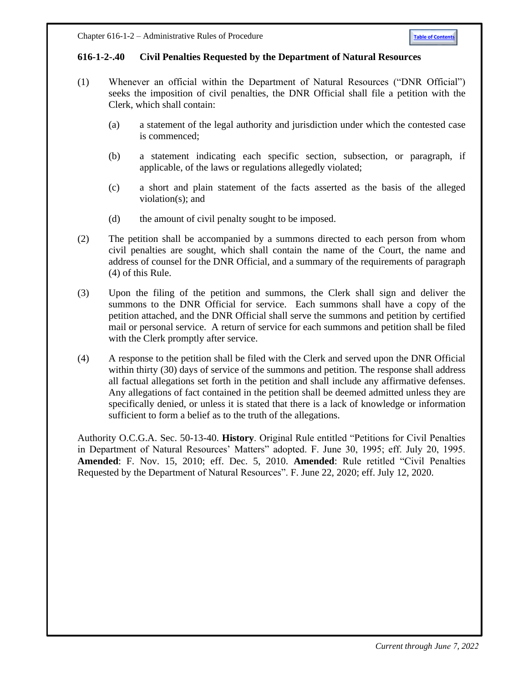#### <span id="page-50-0"></span>**616-1-2-.40 Civil Penalties Requested by the Department of Natural Resources**

- (1) Whenever an official within the Department of Natural Resources ("DNR Official") seeks the imposition of civil penalties, the DNR Official shall file a petition with the Clerk, which shall contain:
	- (a) a statement of the legal authority and jurisdiction under which the contested case is commenced;
	- (b) a statement indicating each specific section, subsection, or paragraph, if applicable, of the laws or regulations allegedly violated;
	- (c) a short and plain statement of the facts asserted as the basis of the alleged violation(s); and
	- (d) the amount of civil penalty sought to be imposed.
- (2) The petition shall be accompanied by a summons directed to each person from whom civil penalties are sought, which shall contain the name of the Court, the name and address of counsel for the DNR Official, and a summary of the requirements of paragraph (4) of this Rule.
- (3) Upon the filing of the petition and summons, the Clerk shall sign and deliver the summons to the DNR Official for service. Each summons shall have a copy of the petition attached, and the DNR Official shall serve the summons and petition by certified mail or personal service. A return of service for each summons and petition shall be filed with the Clerk promptly after service.
- (4) A response to the petition shall be filed with the Clerk and served upon the DNR Official within thirty (30) days of service of the summons and petition. The response shall address all factual allegations set forth in the petition and shall include any affirmative defenses. Any allegations of fact contained in the petition shall be deemed admitted unless they are specifically denied, or unless it is stated that there is a lack of knowledge or information sufficient to form a belief as to the truth of the allegations.

Authority O.C.G.A. Sec. 50-13-40. **History**. Original Rule entitled "Petitions for Civil Penalties in Department of Natural Resources' Matters" adopted. F. June 30, 1995; eff. July 20, 1995. **Amended**: F. Nov. 15, 2010; eff. Dec. 5, 2010. **Amended**: Rule retitled "Civil Penalties Requested by the Department of Natural Resources". F. June 22, 2020; eff. July 12, 2020.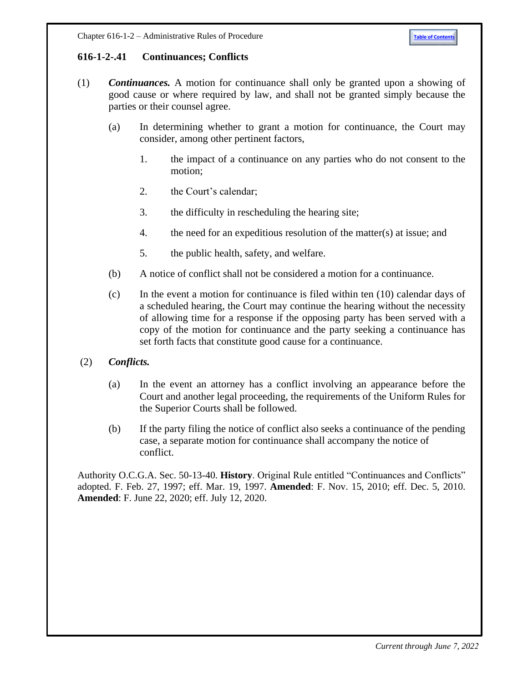# <span id="page-51-0"></span>**616-1-2-.41 [Continuances; Conflicts](http://rules.sos.state.ga.us/GAC/616-1-2-.41)**

- (1) *Continuances.* A motion for continuance shall only be granted upon a showing of good cause or where required by law, and shall not be granted simply because the parties or their counsel agree.
	- (a) In determining whether to grant a motion for continuance, the Court may consider, among other pertinent factors,
		- 1. the impact of a continuance on any parties who do not consent to the motion;
		- 2. the Court's calendar;
		- 3. the difficulty in rescheduling the hearing site;
		- 4. the need for an expeditious resolution of the matter(s) at issue; and
		- 5. the public health, safety, and welfare.
	- (b) A notice of conflict shall not be considered a motion for a continuance.
	- (c) In the event a motion for continuance is filed within ten (10) calendar days of a scheduled hearing, the Court may continue the hearing without the necessity of allowing time for a response if the opposing party has been served with a copy of the motion for continuance and the party seeking a continuance has set forth facts that constitute good cause for a continuance.
- (2) *Conflicts.*
	- (a) In the event an attorney has a conflict involving an appearance before the Court and another legal proceeding, the requirements of the Uniform Rules for the Superior Courts shall be followed.
	- (b) If the party filing the notice of conflict also seeks a continuance of the pending case, a separate motion for continuance shall accompany the notice of conflict.

Authority O.C.G.A. Sec. 50-13-40. **History**. Original Rule entitled "Continuances and Conflicts" adopted. F. Feb. 27, 1997; eff. Mar. 19, 1997. **Amended**: F. Nov. 15, 2010; eff. Dec. 5, 2010. **Amended**: F. June 22, 2020; eff. July 12, 2020.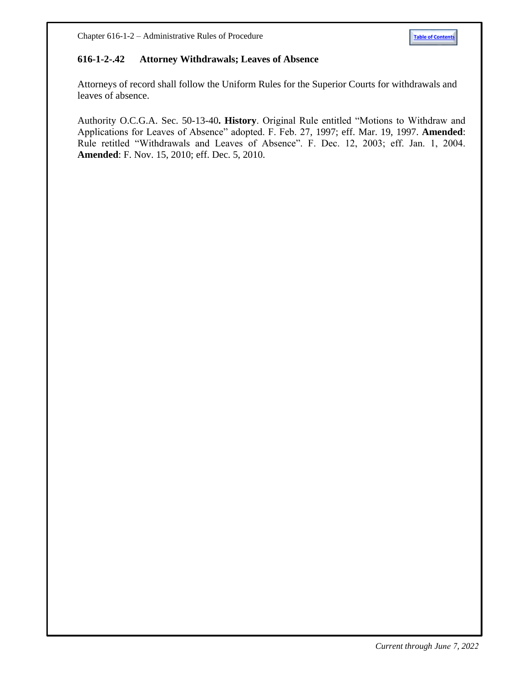#### <span id="page-52-0"></span>**616-1-2-.42 Attorney Withdrawals; Leaves of Absence**

Attorneys of record shall follow the Uniform Rules for the Superior Courts for withdrawals and leaves of absence.

Authority O.C.G.A. Sec. 50-13-40**. History**. Original Rule entitled "Motions to Withdraw and Applications for Leaves of Absence" adopted. F. Feb. 27, 1997; eff. Mar. 19, 1997. **Amended**: Rule retitled "Withdrawals and Leaves of Absence". F. Dec. 12, 2003; eff. Jan. 1, 2004. **Amended**: F. Nov. 15, 2010; eff. Dec. 5, 2010.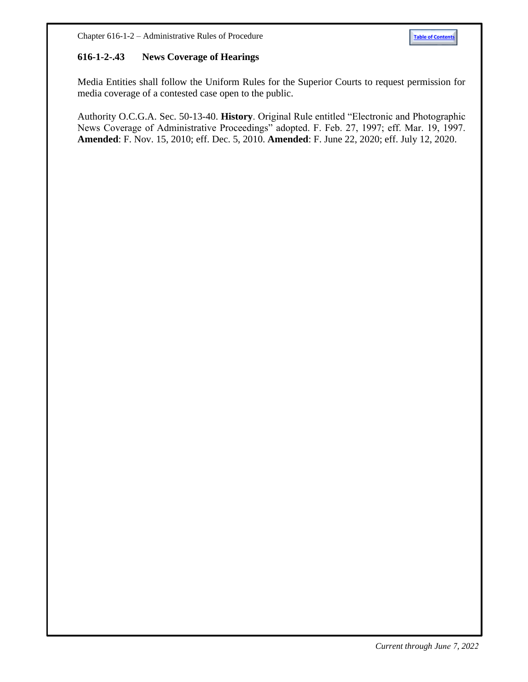## <span id="page-53-0"></span>**616-1-2-.43 [News Coverage of Hearings](http://rules.sos.state.ga.us/GAC/616-1-2-.43)**

Media Entities shall follow the Uniform Rules for the Superior Courts to request permission for media coverage of a contested case open to the public.

Authority O.C.G.A. Sec. 50-13-40. **History**. Original Rule entitled "Electronic and Photographic News Coverage of Administrative Proceedings" adopted. F. Feb. 27, 1997; eff. Mar. 19, 1997. **Amended**: F. Nov. 15, 2010; eff. Dec. 5, 2010. **Amended**: F. June 22, 2020; eff. July 12, 2020.